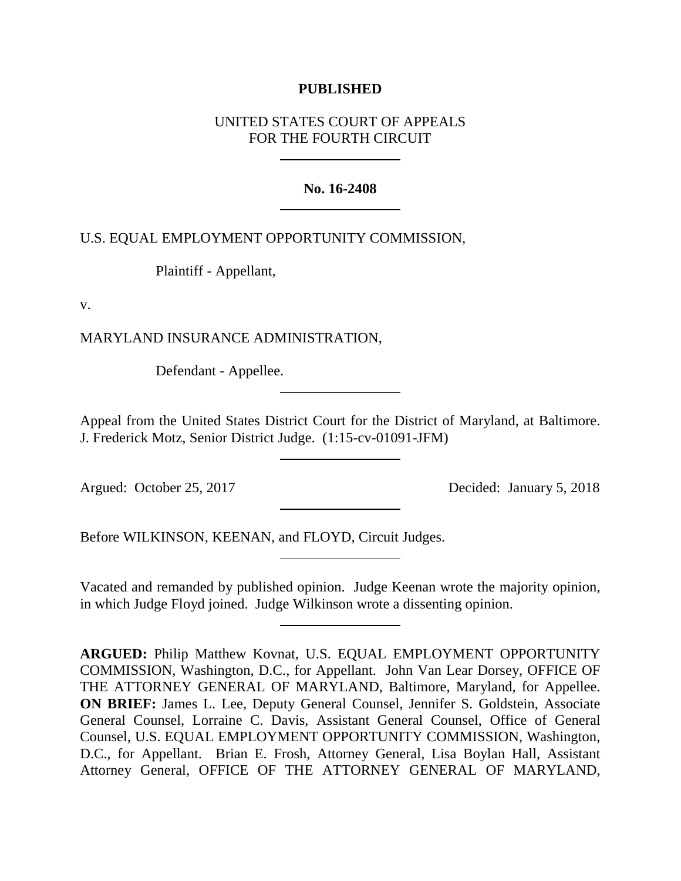## **PUBLISHED**

# UNITED STATES COURT OF APPEALS FOR THE FOURTH CIRCUIT

## **No. 16-2408**

U.S. EQUAL EMPLOYMENT OPPORTUNITY COMMISSION,

Plaintiff - Appellant,

v.

MARYLAND INSURANCE ADMINISTRATION,

Defendant - Appellee.

Appeal from the United States District Court for the District of Maryland, at Baltimore. J. Frederick Motz, Senior District Judge. (1:15-cv-01091-JFM)

Argued: October 25, 2017 Decided: January 5, 2018

Before WILKINSON, KEENAN, and FLOYD, Circuit Judges.

Vacated and remanded by published opinion. Judge Keenan wrote the majority opinion, in which Judge Floyd joined. Judge Wilkinson wrote a dissenting opinion.

**ARGUED:** Philip Matthew Kovnat, U.S. EQUAL EMPLOYMENT OPPORTUNITY COMMISSION, Washington, D.C., for Appellant. John Van Lear Dorsey, OFFICE OF THE ATTORNEY GENERAL OF MARYLAND, Baltimore, Maryland, for Appellee. **ON BRIEF:** James L. Lee, Deputy General Counsel, Jennifer S. Goldstein, Associate General Counsel, Lorraine C. Davis, Assistant General Counsel, Office of General Counsel, U.S. EQUAL EMPLOYMENT OPPORTUNITY COMMISSION, Washington, D.C., for Appellant. Brian E. Frosh, Attorney General, Lisa Boylan Hall, Assistant Attorney General, OFFICE OF THE ATTORNEY GENERAL OF MARYLAND,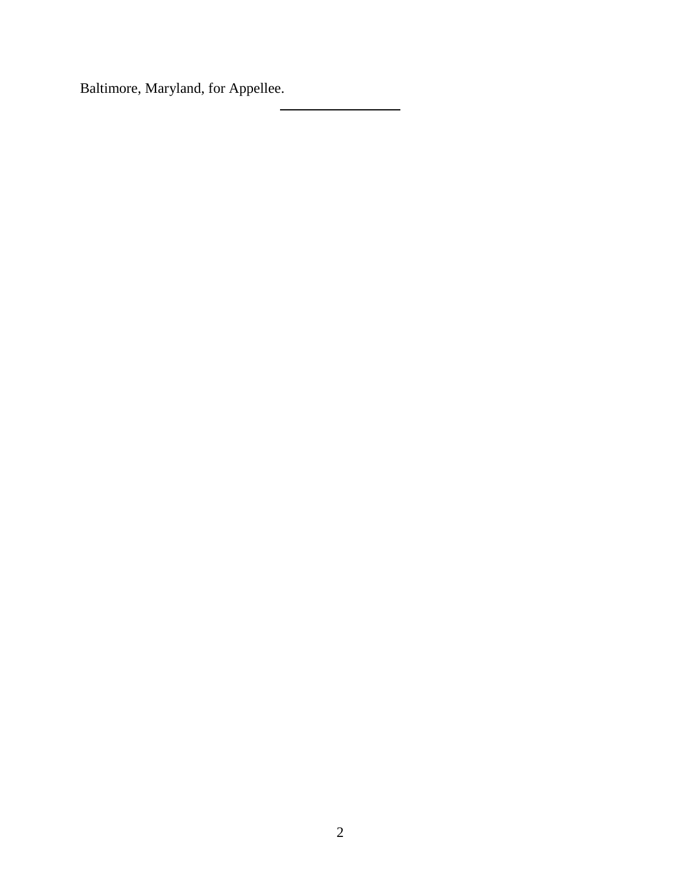Baltimore, Maryland, for Appellee.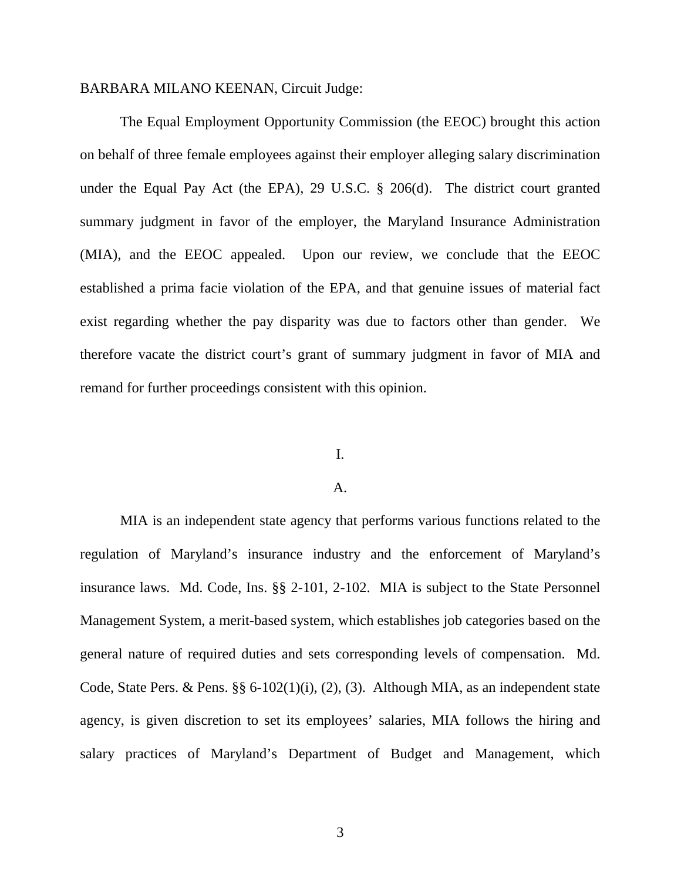### BARBARA MILANO KEENAN, Circuit Judge:

The Equal Employment Opportunity Commission (the EEOC) brought this action on behalf of three female employees against their employer alleging salary discrimination under the Equal Pay Act (the EPA), 29 U.S.C. § 206(d). The district court granted summary judgment in favor of the employer, the Maryland Insurance Administration (MIA), and the EEOC appealed. Upon our review, we conclude that the EEOC established a prima facie violation of the EPA, and that genuine issues of material fact exist regarding whether the pay disparity was due to factors other than gender. We therefore vacate the district court's grant of summary judgment in favor of MIA and remand for further proceedings consistent with this opinion.

## I.

#### A.

MIA is an independent state agency that performs various functions related to the regulation of Maryland's insurance industry and the enforcement of Maryland's insurance laws. Md. Code, Ins. §§ 2-101, 2-102. MIA is subject to the State Personnel Management System, a merit-based system, which establishes job categories based on the general nature of required duties and sets corresponding levels of compensation. Md. Code, State Pers. & Pens. §§ 6-102(1)(i), (2), (3). Although MIA, as an independent state agency, is given discretion to set its employees' salaries, MIA follows the hiring and salary practices of Maryland's Department of Budget and Management, which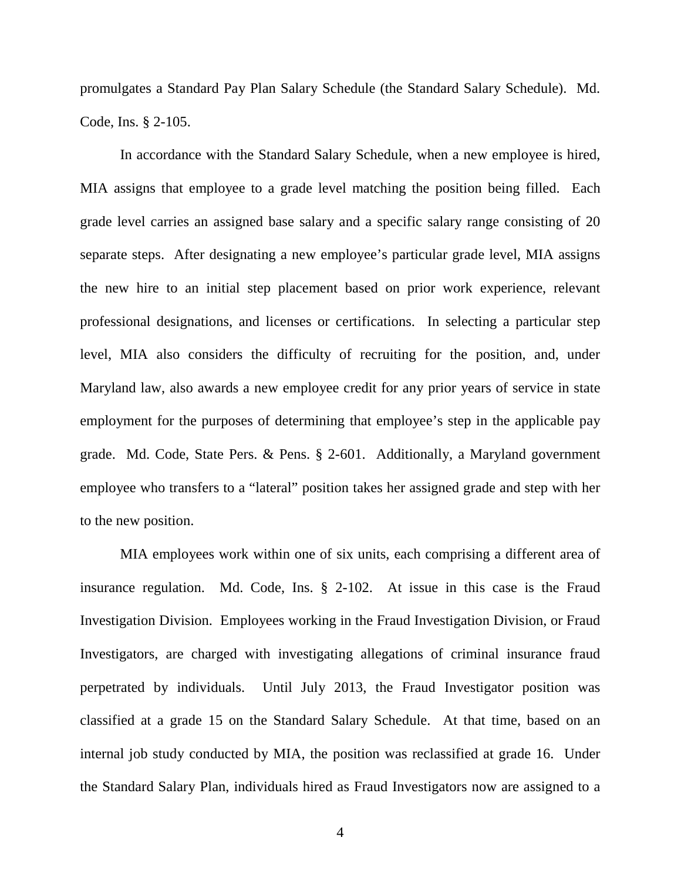promulgates a Standard Pay Plan Salary Schedule (the Standard Salary Schedule). Md. Code, Ins. § 2-105.

In accordance with the Standard Salary Schedule, when a new employee is hired, MIA assigns that employee to a grade level matching the position being filled. Each grade level carries an assigned base salary and a specific salary range consisting of 20 separate steps. After designating a new employee's particular grade level, MIA assigns the new hire to an initial step placement based on prior work experience, relevant professional designations, and licenses or certifications. In selecting a particular step level, MIA also considers the difficulty of recruiting for the position, and, under Maryland law, also awards a new employee credit for any prior years of service in state employment for the purposes of determining that employee's step in the applicable pay grade. Md. Code, State Pers. & Pens. § 2-601. Additionally, a Maryland government employee who transfers to a "lateral" position takes her assigned grade and step with her to the new position.

MIA employees work within one of six units, each comprising a different area of insurance regulation. Md. Code, Ins. § 2-102. At issue in this case is the Fraud Investigation Division. Employees working in the Fraud Investigation Division, or Fraud Investigators, are charged with investigating allegations of criminal insurance fraud perpetrated by individuals. Until July 2013, the Fraud Investigator position was classified at a grade 15 on the Standard Salary Schedule. At that time, based on an internal job study conducted by MIA, the position was reclassified at grade 16. Under the Standard Salary Plan, individuals hired as Fraud Investigators now are assigned to a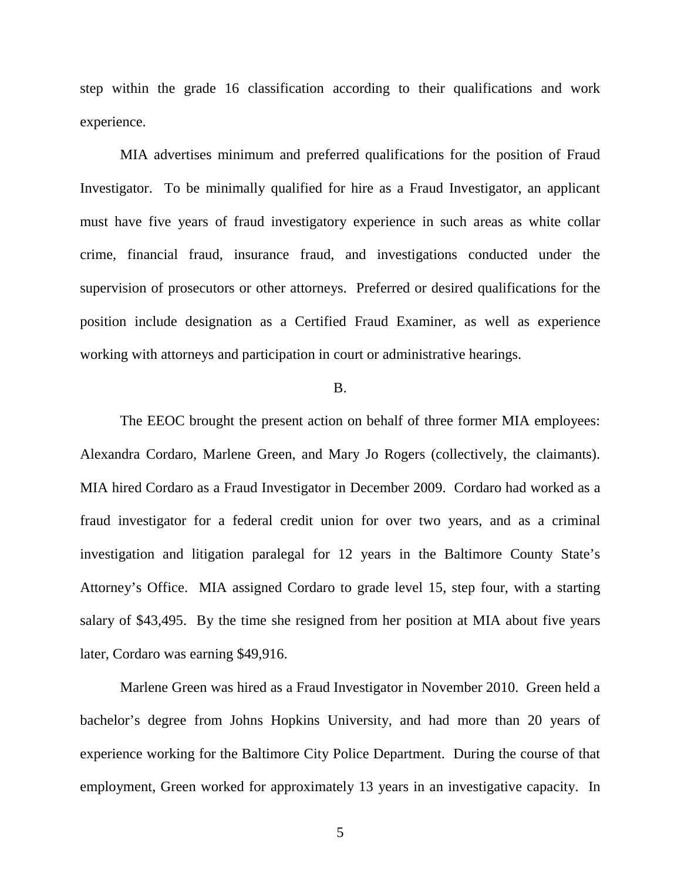step within the grade 16 classification according to their qualifications and work experience.

MIA advertises minimum and preferred qualifications for the position of Fraud Investigator. To be minimally qualified for hire as a Fraud Investigator, an applicant must have five years of fraud investigatory experience in such areas as white collar crime, financial fraud, insurance fraud, and investigations conducted under the supervision of prosecutors or other attorneys. Preferred or desired qualifications for the position include designation as a Certified Fraud Examiner, as well as experience working with attorneys and participation in court or administrative hearings.

## B.

The EEOC brought the present action on behalf of three former MIA employees: Alexandra Cordaro, Marlene Green, and Mary Jo Rogers (collectively, the claimants). MIA hired Cordaro as a Fraud Investigator in December 2009. Cordaro had worked as a fraud investigator for a federal credit union for over two years, and as a criminal investigation and litigation paralegal for 12 years in the Baltimore County State's Attorney's Office. MIA assigned Cordaro to grade level 15, step four, with a starting salary of \$43,495. By the time she resigned from her position at MIA about five years later, Cordaro was earning \$49,916.

Marlene Green was hired as a Fraud Investigator in November 2010. Green held a bachelor's degree from Johns Hopkins University, and had more than 20 years of experience working for the Baltimore City Police Department. During the course of that employment, Green worked for approximately 13 years in an investigative capacity. In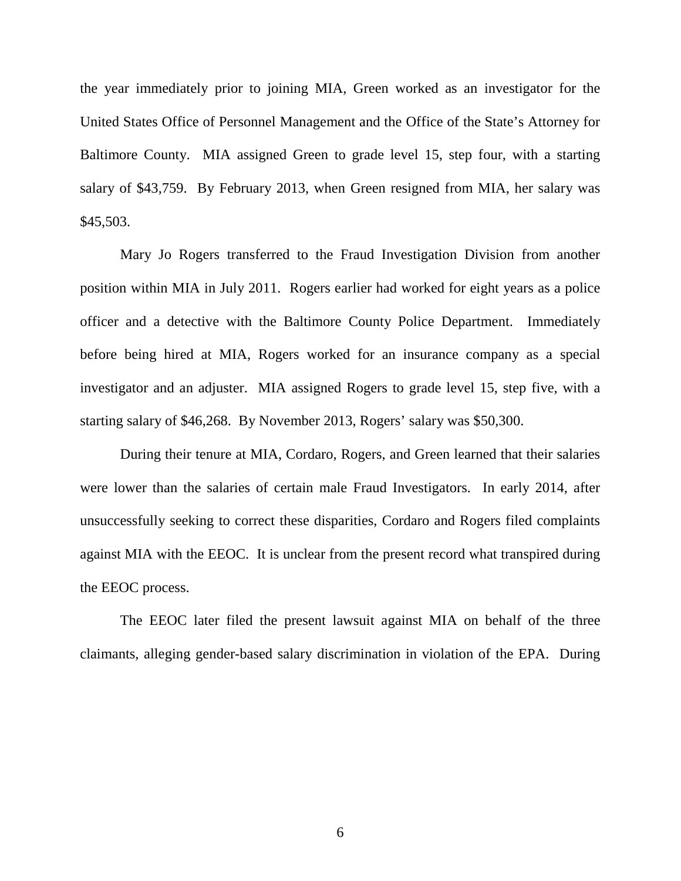the year immediately prior to joining MIA, Green worked as an investigator for the United States Office of Personnel Management and the Office of the State's Attorney for Baltimore County. MIA assigned Green to grade level 15, step four, with a starting salary of \$43,759. By February 2013, when Green resigned from MIA, her salary was \$45,503.

Mary Jo Rogers transferred to the Fraud Investigation Division from another position within MIA in July 2011. Rogers earlier had worked for eight years as a police officer and a detective with the Baltimore County Police Department. Immediately before being hired at MIA, Rogers worked for an insurance company as a special investigator and an adjuster. MIA assigned Rogers to grade level 15, step five, with a starting salary of \$46,268. By November 2013, Rogers' salary was \$50,300.

During their tenure at MIA, Cordaro, Rogers, and Green learned that their salaries were lower than the salaries of certain male Fraud Investigators. In early 2014, after unsuccessfully seeking to correct these disparities, Cordaro and Rogers filed complaints against MIA with the EEOC. It is unclear from the present record what transpired during the EEOC process.

The EEOC later filed the present lawsuit against MIA on behalf of the three claimants, alleging gender-based salary discrimination in violation of the EPA. During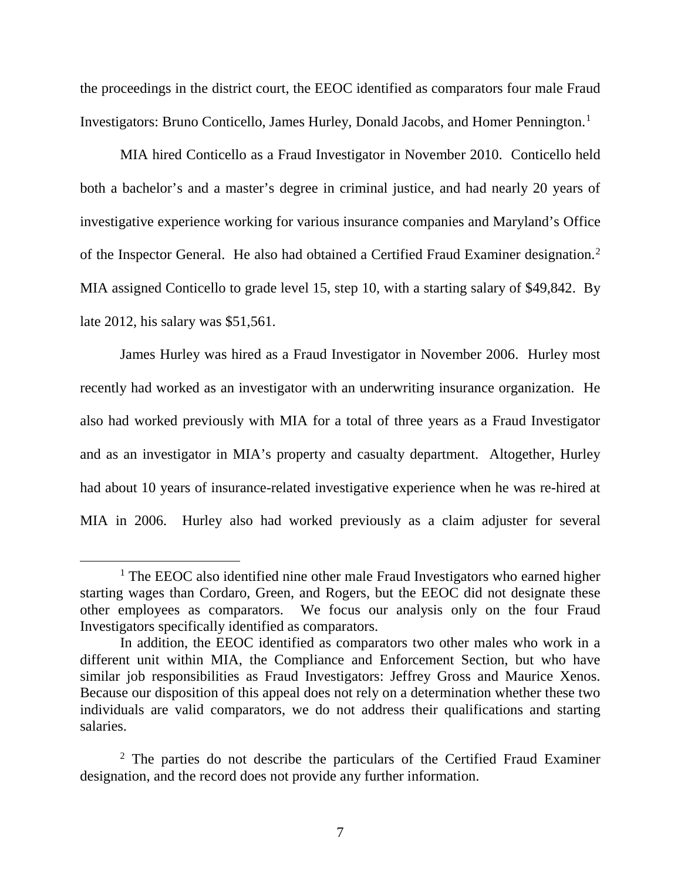the proceedings in the district court, the EEOC identified as comparators four male Fraud Investigators: Bruno Conticello, James Hurley, Donald Jacobs, and Homer Pennington.[1](#page-6-0)

MIA hired Conticello as a Fraud Investigator in November 2010. Conticello held both a bachelor's and a master's degree in criminal justice, and had nearly 20 years of investigative experience working for various insurance companies and Maryland's Office of the Inspector General. He also had obtained a Certified Fraud Examiner designation.<sup>[2](#page-6-1)</sup> MIA assigned Conticello to grade level 15, step 10, with a starting salary of \$49,842. By late 2012, his salary was \$51,561.

James Hurley was hired as a Fraud Investigator in November 2006. Hurley most recently had worked as an investigator with an underwriting insurance organization. He also had worked previously with MIA for a total of three years as a Fraud Investigator and as an investigator in MIA's property and casualty department. Altogether, Hurley had about 10 years of insurance-related investigative experience when he was re-hired at MIA in 2006. Hurley also had worked previously as a claim adjuster for several

<span id="page-6-0"></span><sup>&</sup>lt;sup>1</sup> The EEOC also identified nine other male Fraud Investigators who earned higher starting wages than Cordaro, Green, and Rogers, but the EEOC did not designate these other employees as comparators. We focus our analysis only on the four Fraud Investigators specifically identified as comparators.

In addition, the EEOC identified as comparators two other males who work in a different unit within MIA, the Compliance and Enforcement Section, but who have similar job responsibilities as Fraud Investigators: Jeffrey Gross and Maurice Xenos. Because our disposition of this appeal does not rely on a determination whether these two individuals are valid comparators, we do not address their qualifications and starting salaries.

<span id="page-6-1"></span> $2$  The parties do not describe the particulars of the Certified Fraud Examiner designation, and the record does not provide any further information.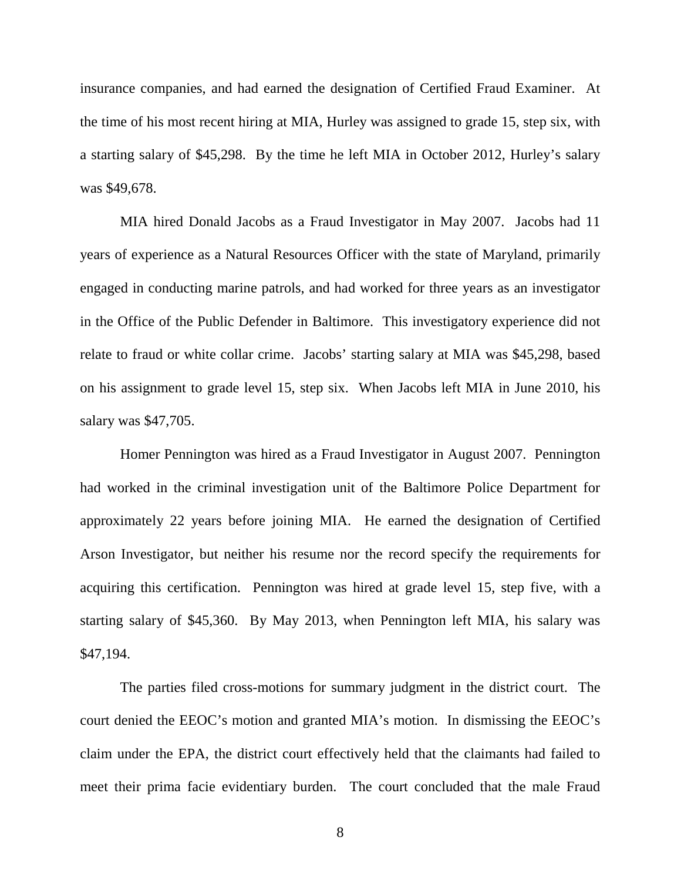insurance companies, and had earned the designation of Certified Fraud Examiner. At the time of his most recent hiring at MIA, Hurley was assigned to grade 15, step six, with a starting salary of \$45,298. By the time he left MIA in October 2012, Hurley's salary was \$49,678.

MIA hired Donald Jacobs as a Fraud Investigator in May 2007. Jacobs had 11 years of experience as a Natural Resources Officer with the state of Maryland, primarily engaged in conducting marine patrols, and had worked for three years as an investigator in the Office of the Public Defender in Baltimore. This investigatory experience did not relate to fraud or white collar crime. Jacobs' starting salary at MIA was \$45,298, based on his assignment to grade level 15, step six. When Jacobs left MIA in June 2010, his salary was \$47,705.

Homer Pennington was hired as a Fraud Investigator in August 2007. Pennington had worked in the criminal investigation unit of the Baltimore Police Department for approximately 22 years before joining MIA. He earned the designation of Certified Arson Investigator, but neither his resume nor the record specify the requirements for acquiring this certification. Pennington was hired at grade level 15, step five, with a starting salary of \$45,360. By May 2013, when Pennington left MIA, his salary was \$47,194.

The parties filed cross-motions for summary judgment in the district court. The court denied the EEOC's motion and granted MIA's motion. In dismissing the EEOC's claim under the EPA, the district court effectively held that the claimants had failed to meet their prima facie evidentiary burden. The court concluded that the male Fraud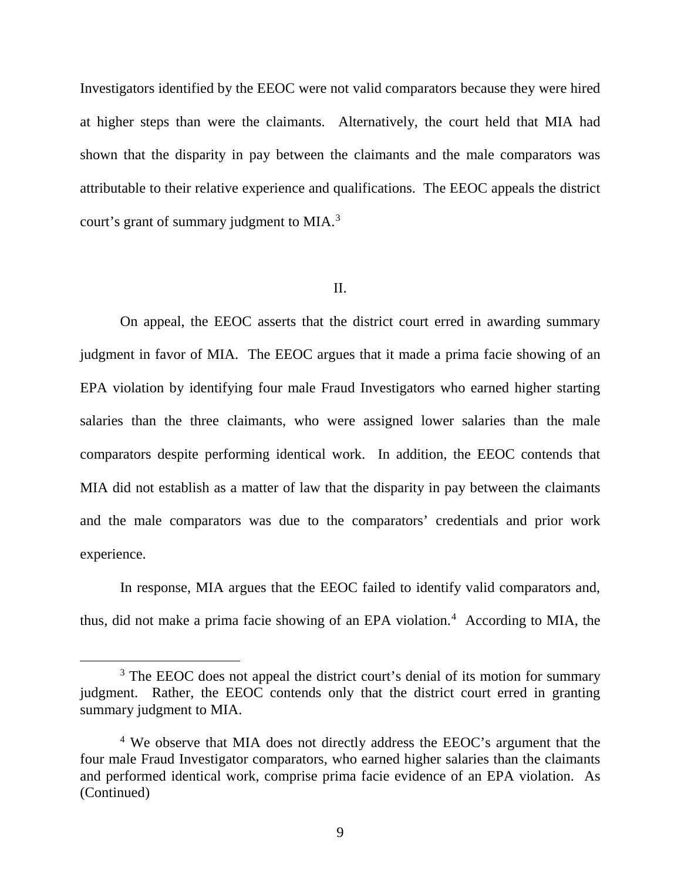Investigators identified by the EEOC were not valid comparators because they were hired at higher steps than were the claimants. Alternatively, the court held that MIA had shown that the disparity in pay between the claimants and the male comparators was attributable to their relative experience and qualifications. The EEOC appeals the district court's grant of summary judgment to MIA.<sup>[3](#page-8-0)</sup>

#### II.

On appeal, the EEOC asserts that the district court erred in awarding summary judgment in favor of MIA. The EEOC argues that it made a prima facie showing of an EPA violation by identifying four male Fraud Investigators who earned higher starting salaries than the three claimants, who were assigned lower salaries than the male comparators despite performing identical work. In addition, the EEOC contends that MIA did not establish as a matter of law that the disparity in pay between the claimants and the male comparators was due to the comparators' credentials and prior work experience.

In response, MIA argues that the EEOC failed to identify valid comparators and, thus, did not make a prima facie showing of an EPA violation.<sup>[4](#page-8-1)</sup> According to MIA, the

<span id="page-8-0"></span><sup>&</sup>lt;sup>3</sup> The EEOC does not appeal the district court's denial of its motion for summary judgment. Rather, the EEOC contends only that the district court erred in granting summary judgment to MIA.

<span id="page-8-1"></span><sup>&</sup>lt;sup>4</sup> We observe that MIA does not directly address the EEOC's argument that the four male Fraud Investigator comparators, who earned higher salaries than the claimants and performed identical work, comprise prima facie evidence of an EPA violation. As (Continued)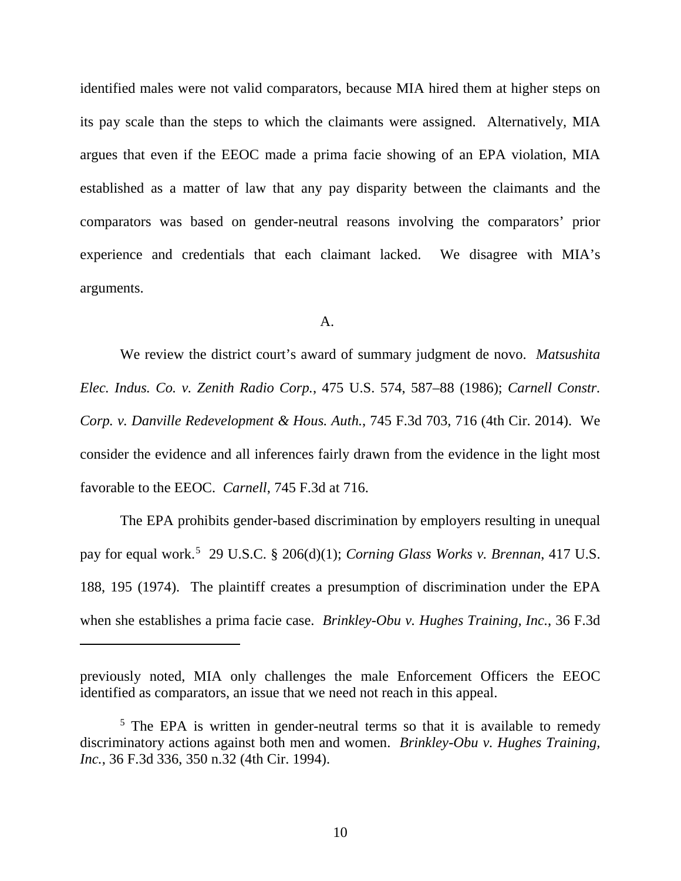identified males were not valid comparators, because MIA hired them at higher steps on its pay scale than the steps to which the claimants were assigned. Alternatively, MIA argues that even if the EEOC made a prima facie showing of an EPA violation, MIA established as a matter of law that any pay disparity between the claimants and the comparators was based on gender-neutral reasons involving the comparators' prior experience and credentials that each claimant lacked. We disagree with MIA's arguments.

#### A.

We review the district court's award of summary judgment de novo. *Matsushita Elec. Indus. Co. v. Zenith Radio Corp.*, 475 U.S. 574, 587–88 (1986); *Carnell Constr. Corp. v. Danville Redevelopment & Hous. Auth.*, 745 F.3d 703, 716 (4th Cir. 2014). We consider the evidence and all inferences fairly drawn from the evidence in the light most favorable to the EEOC. *Carnell*, 745 F.3d at 716.

The EPA prohibits gender-based discrimination by employers resulting in unequal pay for equal work.<sup>[5](#page-9-0)</sup> 29 U.S.C. § 206(d)(1); *Corning Glass Works v. Brennan*, 417 U.S. 188, 195 (1974). The plaintiff creates a presumption of discrimination under the EPA when she establishes a prima facie case. *Brinkley-Obu v. Hughes Training, Inc.*, 36 F.3d

 $\overline{a}$ 

previously noted, MIA only challenges the male Enforcement Officers the EEOC identified as comparators, an issue that we need not reach in this appeal.

<span id="page-9-0"></span><sup>&</sup>lt;sup>5</sup> The EPA is written in gender-neutral terms so that it is available to remedy discriminatory actions against both men and women. *Brinkley-Obu v. Hughes Training, Inc.*, 36 F.3d 336, 350 n.32 (4th Cir. 1994).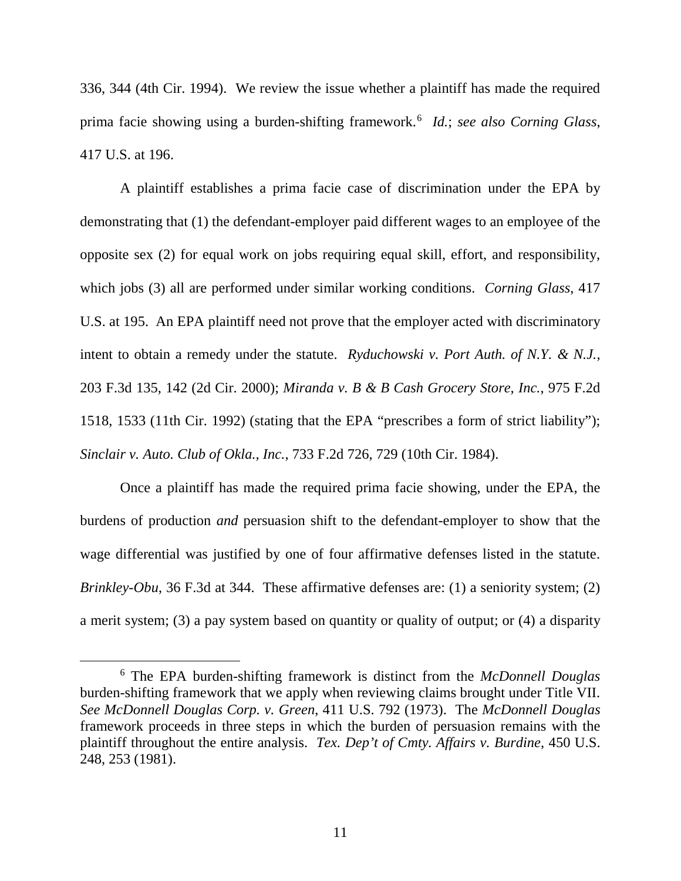336, 344 (4th Cir. 1994). We review the issue whether a plaintiff has made the required prima facie showing using a burden-shifting framework.[6](#page-10-0) *Id.*; *see also Corning Glass*, 417 U.S. at 196.

A plaintiff establishes a prima facie case of discrimination under the EPA by demonstrating that (1) the defendant-employer paid different wages to an employee of the opposite sex (2) for equal work on jobs requiring equal skill, effort, and responsibility, which jobs (3) all are performed under similar working conditions. *Corning Glass*, 417 U.S. at 195. An EPA plaintiff need not prove that the employer acted with discriminatory intent to obtain a remedy under the statute. *Ryduchowski v. Port Auth. of N.Y. & N.J.*, 203 F.3d 135, 142 (2d Cir. 2000); *Miranda v. B & B Cash Grocery Store, Inc.*, 975 F.2d 1518, 1533 (11th Cir. 1992) (stating that the EPA "prescribes a form of strict liability"); *Sinclair v. Auto. Club of Okla., Inc.*, 733 F.2d 726, 729 (10th Cir. 1984).

Once a plaintiff has made the required prima facie showing, under the EPA, the burdens of production *and* persuasion shift to the defendant-employer to show that the wage differential was justified by one of four affirmative defenses listed in the statute. *Brinkley-Obu*, 36 F.3d at 344. These affirmative defenses are: (1) a seniority system; (2) a merit system; (3) a pay system based on quantity or quality of output; or (4) a disparity

<span id="page-10-0"></span> <sup>6</sup> The EPA burden-shifting framework is distinct from the *McDonnell Douglas* burden-shifting framework that we apply when reviewing claims brought under Title VII. *See McDonnell Douglas Corp. v. Green*, 411 U.S. 792 (1973). The *McDonnell Douglas* framework proceeds in three steps in which the burden of persuasion remains with the plaintiff throughout the entire analysis. *Tex. Dep't of Cmty. Affairs v. Burdine*, 450 U.S. 248, 253 (1981).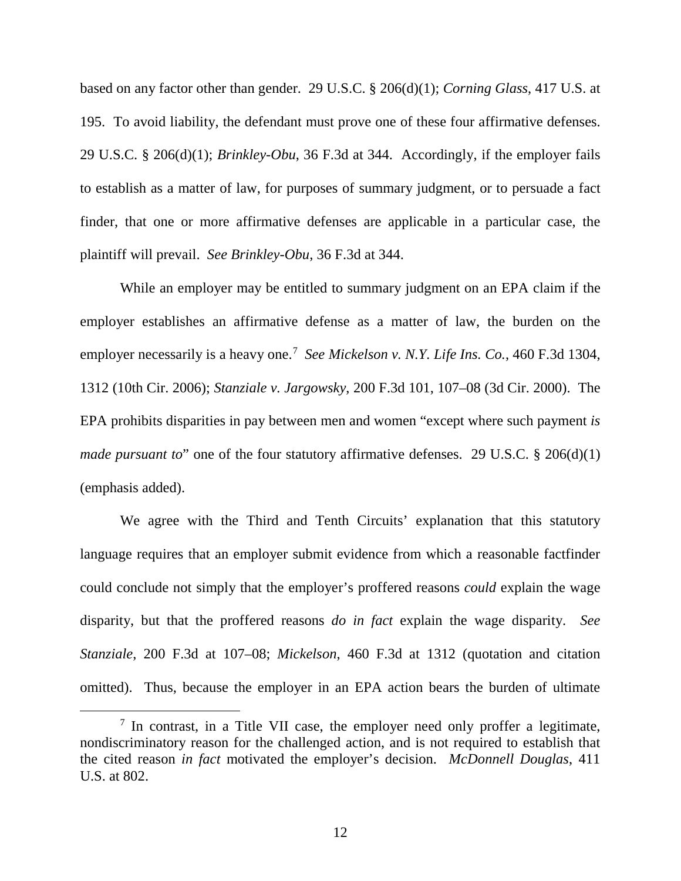based on any factor other than gender. 29 U.S.C. § 206(d)(1); *Corning Glass*, 417 U.S. at 195.To avoid liability, the defendant must prove one of these four affirmative defenses. 29 U.S.C. § 206(d)(1); *Brinkley-Obu*, 36 F.3d at 344. Accordingly, if the employer fails to establish as a matter of law, for purposes of summary judgment, or to persuade a fact finder, that one or more affirmative defenses are applicable in a particular case, the plaintiff will prevail. *See Brinkley-Obu*, 36 F.3d at 344.

While an employer may be entitled to summary judgment on an EPA claim if the employer establishes an affirmative defense as a matter of law, the burden on the employer necessarily is a heavy one.[7](#page-11-0) *See Mickelson v. N.Y. Life Ins. Co.*, 460 F.3d 1304, 1312 (10th Cir. 2006); *Stanziale v. Jargowsky*, 200 F.3d 101, 107–08 (3d Cir. 2000). The EPA prohibits disparities in pay between men and women "except where such payment *is made pursuant to*" one of the four statutory affirmative defenses. 29 U.S.C. § 206(d)(1) (emphasis added).

We agree with the Third and Tenth Circuits' explanation that this statutory language requires that an employer submit evidence from which a reasonable factfinder could conclude not simply that the employer's proffered reasons *could* explain the wage disparity, but that the proffered reasons *do in fact* explain the wage disparity. *See Stanziale*, 200 F.3d at 107–08; *Mickelson*, 460 F.3d at 1312 (quotation and citation omitted). Thus, because the employer in an EPA action bears the burden of ultimate

<span id="page-11-0"></span><sup>&</sup>lt;sup>7</sup> In contrast, in a Title VII case, the employer need only proffer a legitimate, nondiscriminatory reason for the challenged action, and is not required to establish that the cited reason *in fact* motivated the employer's decision. *McDonnell Douglas*, 411 U.S. at 802.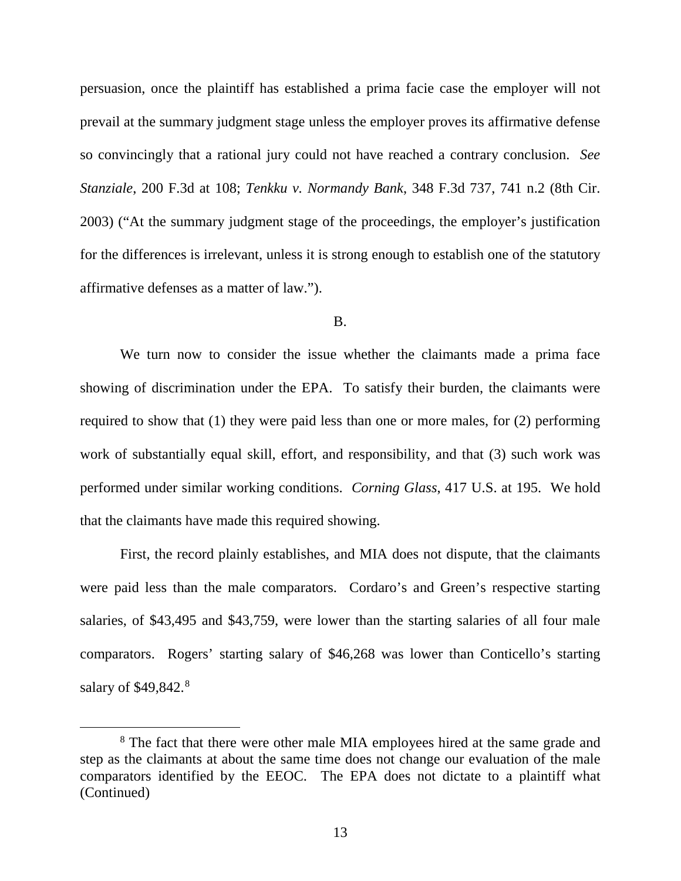persuasion, once the plaintiff has established a prima facie case the employer will not prevail at the summary judgment stage unless the employer proves its affirmative defense so convincingly that a rational jury could not have reached a contrary conclusion. *See Stanziale*, 200 F.3d at 108; *Tenkku v. Normandy Bank*, 348 F.3d 737, 741 n.2 (8th Cir. 2003) ("At the summary judgment stage of the proceedings, the employer's justification for the differences is irrelevant, unless it is strong enough to establish one of the statutory affirmative defenses as a matter of law.").

#### B.

We turn now to consider the issue whether the claimants made a prima face showing of discrimination under the EPA. To satisfy their burden, the claimants were required to show that (1) they were paid less than one or more males, for (2) performing work of substantially equal skill, effort, and responsibility, and that (3) such work was performed under similar working conditions. *Corning Glass*, 417 U.S. at 195. We hold that the claimants have made this required showing.

First, the record plainly establishes, and MIA does not dispute, that the claimants were paid less than the male comparators. Cordaro's and Green's respective starting salaries, of \$43,495 and \$43,759, were lower than the starting salaries of all four male comparators. Rogers' starting salary of \$46,268 was lower than Conticello's starting salary of \$49,[8](#page-12-0)42.<sup>8</sup>

<span id="page-12-0"></span><sup>&</sup>lt;sup>8</sup> The fact that there were other male MIA employees hired at the same grade and step as the claimants at about the same time does not change our evaluation of the male comparators identified by the EEOC. The EPA does not dictate to a plaintiff what (Continued)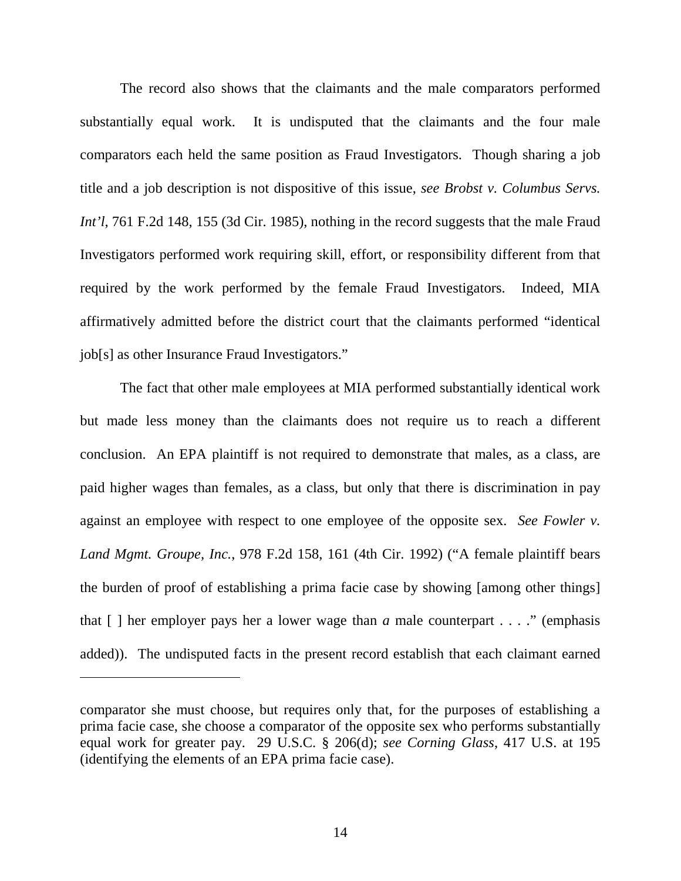The record also shows that the claimants and the male comparators performed substantially equal work. It is undisputed that the claimants and the four male comparators each held the same position as Fraud Investigators. Though sharing a job title and a job description is not dispositive of this issue, *see Brobst v. Columbus Servs. Int'l*, 761 F.2d 148, 155 (3d Cir. 1985), nothing in the record suggests that the male Fraud Investigators performed work requiring skill, effort, or responsibility different from that required by the work performed by the female Fraud Investigators. Indeed, MIA affirmatively admitted before the district court that the claimants performed "identical job[s] as other Insurance Fraud Investigators."

The fact that other male employees at MIA performed substantially identical work but made less money than the claimants does not require us to reach a different conclusion. An EPA plaintiff is not required to demonstrate that males, as a class, are paid higher wages than females, as a class, but only that there is discrimination in pay against an employee with respect to one employee of the opposite sex. *See Fowler v. Land Mgmt. Groupe, Inc.*, 978 F.2d 158, 161 (4th Cir. 1992) ("A female plaintiff bears the burden of proof of establishing a prima facie case by showing [among other things] that [ ] her employer pays her a lower wage than *a* male counterpart . . . ." (emphasis added)). The undisputed facts in the present record establish that each claimant earned

 $\overline{a}$ 

comparator she must choose, but requires only that, for the purposes of establishing a prima facie case, she choose a comparator of the opposite sex who performs substantially equal work for greater pay. 29 U.S.C. § 206(d); *see Corning Glass*, 417 U.S. at 195 (identifying the elements of an EPA prima facie case).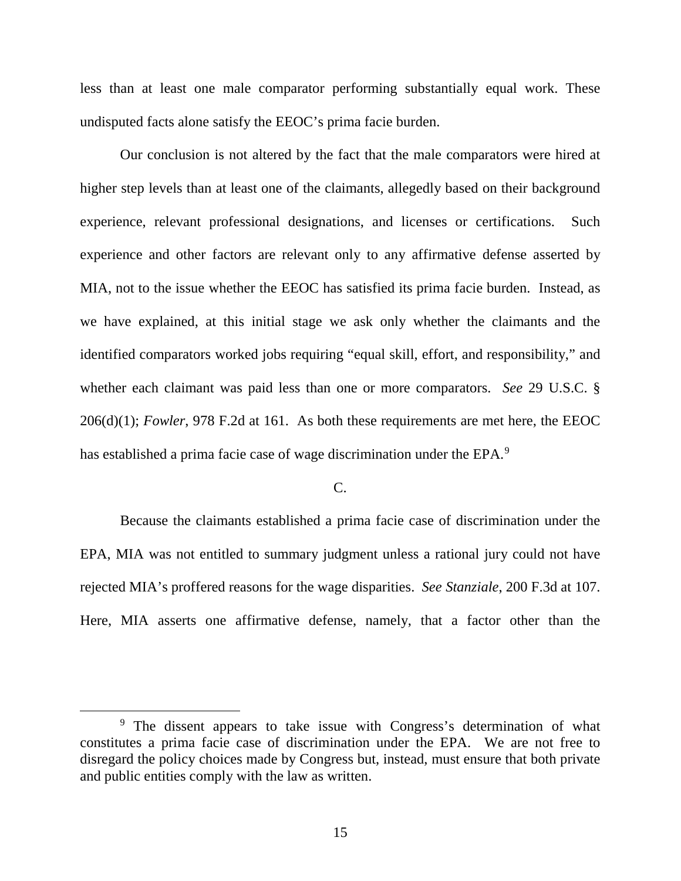less than at least one male comparator performing substantially equal work. These undisputed facts alone satisfy the EEOC's prima facie burden.

Our conclusion is not altered by the fact that the male comparators were hired at higher step levels than at least one of the claimants, allegedly based on their background experience, relevant professional designations, and licenses or certifications. Such experience and other factors are relevant only to any affirmative defense asserted by MIA, not to the issue whether the EEOC has satisfied its prima facie burden. Instead, as we have explained, at this initial stage we ask only whether the claimants and the identified comparators worked jobs requiring "equal skill, effort, and responsibility," and whether each claimant was paid less than one or more comparators. *See* 29 U.S.C. § 206(d)(1); *Fowler*, 978 F.2d at 161. As both these requirements are met here, the EEOC has established a prima facie case of wage discrimination under the EPA.<sup>[9](#page-14-0)</sup>

## $C_{\cdot}$

Because the claimants established a prima facie case of discrimination under the EPA, MIA was not entitled to summary judgment unless a rational jury could not have rejected MIA's proffered reasons for the wage disparities. *See Stanziale*, 200 F.3d at 107. Here, MIA asserts one affirmative defense, namely, that a factor other than the

<span id="page-14-0"></span><sup>&</sup>lt;sup>9</sup> The dissent appears to take issue with Congress's determination of what constitutes a prima facie case of discrimination under the EPA. We are not free to disregard the policy choices made by Congress but, instead, must ensure that both private and public entities comply with the law as written.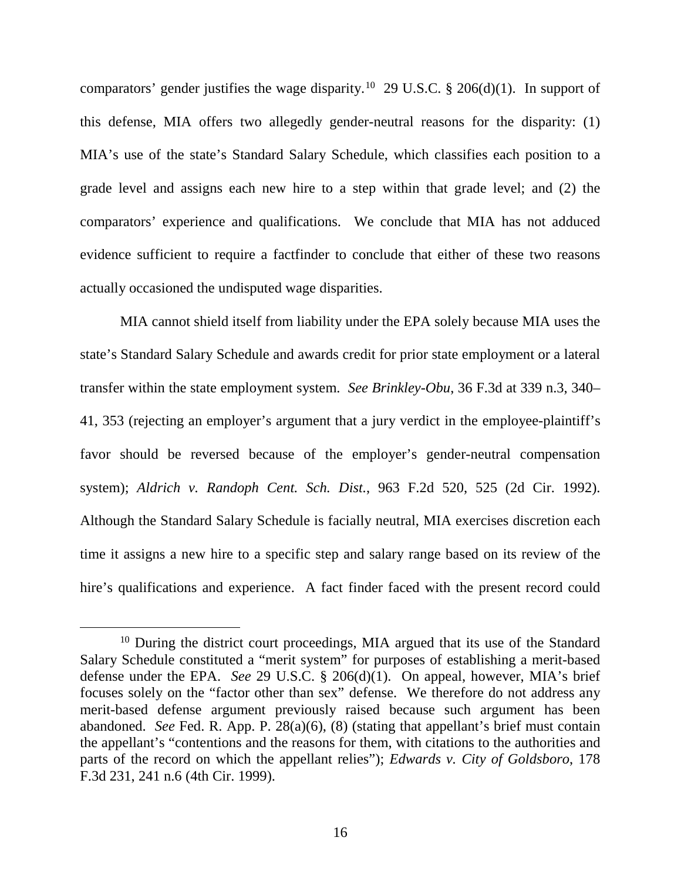comparators' gender justifies the wage disparity.<sup>[10](#page-15-0)</sup> 29 U.S.C. § 206(d)(1). In support of this defense, MIA offers two allegedly gender-neutral reasons for the disparity: (1) MIA's use of the state's Standard Salary Schedule, which classifies each position to a grade level and assigns each new hire to a step within that grade level; and (2) the comparators' experience and qualifications. We conclude that MIA has not adduced evidence sufficient to require a factfinder to conclude that either of these two reasons actually occasioned the undisputed wage disparities.

MIA cannot shield itself from liability under the EPA solely because MIA uses the state's Standard Salary Schedule and awards credit for prior state employment or a lateral transfer within the state employment system. *See Brinkley-Obu*, 36 F.3d at 339 n.3, 340– 41, 353 (rejecting an employer's argument that a jury verdict in the employee-plaintiff's favor should be reversed because of the employer's gender-neutral compensation system); *Aldrich v. Randoph Cent. Sch. Dist.*, 963 F.2d 520, 525 (2d Cir. 1992). Although the Standard Salary Schedule is facially neutral, MIA exercises discretion each time it assigns a new hire to a specific step and salary range based on its review of the hire's qualifications and experience. A fact finder faced with the present record could

<span id="page-15-0"></span><sup>&</sup>lt;sup>10</sup> During the district court proceedings, MIA argued that its use of the Standard Salary Schedule constituted a "merit system" for purposes of establishing a merit-based defense under the EPA. *See* 29 U.S.C. § 206(d)(1). On appeal, however, MIA's brief focuses solely on the "factor other than sex" defense. We therefore do not address any merit-based defense argument previously raised because such argument has been abandoned. *See* Fed. R. App. P. 28(a)(6), (8) (stating that appellant's brief must contain the appellant's "contentions and the reasons for them, with citations to the authorities and parts of the record on which the appellant relies"); *Edwards v. City of Goldsboro*, 178 F.3d 231, 241 n.6 (4th Cir. 1999).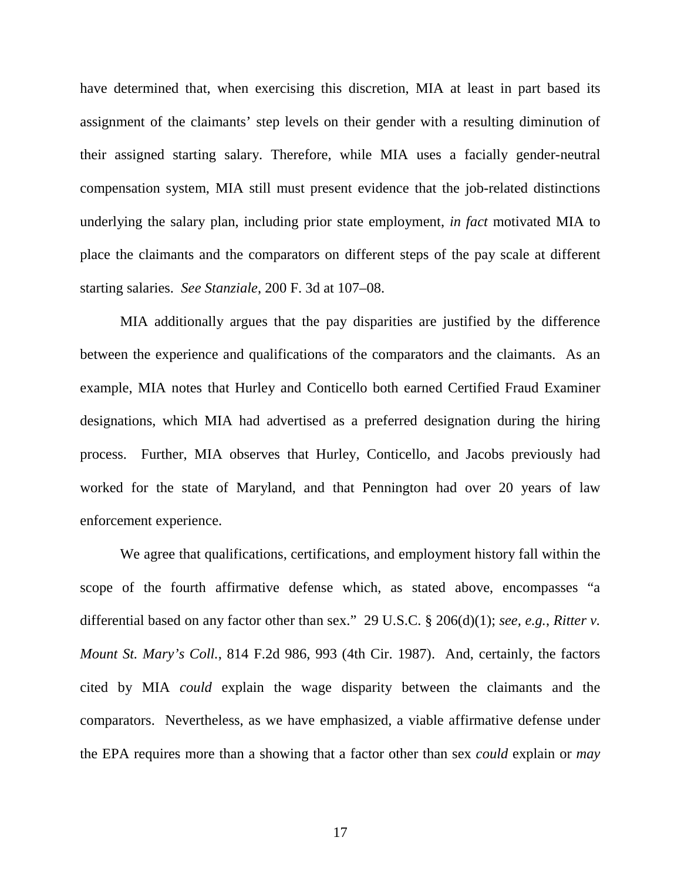have determined that, when exercising this discretion, MIA at least in part based its assignment of the claimants' step levels on their gender with a resulting diminution of their assigned starting salary. Therefore, while MIA uses a facially gender-neutral compensation system, MIA still must present evidence that the job-related distinctions underlying the salary plan, including prior state employment, *in fact* motivated MIA to place the claimants and the comparators on different steps of the pay scale at different starting salaries. *See Stanziale*, 200 F. 3d at 107–08.

MIA additionally argues that the pay disparities are justified by the difference between the experience and qualifications of the comparators and the claimants. As an example, MIA notes that Hurley and Conticello both earned Certified Fraud Examiner designations, which MIA had advertised as a preferred designation during the hiring process. Further, MIA observes that Hurley, Conticello, and Jacobs previously had worked for the state of Maryland, and that Pennington had over 20 years of law enforcement experience.

We agree that qualifications, certifications, and employment history fall within the scope of the fourth affirmative defense which, as stated above, encompasses "a differential based on any factor other than sex." 29 U.S.C. § 206(d)(1); *see, e.g.*, *Ritter v. Mount St. Mary's Coll.*, 814 F.2d 986, 993 (4th Cir. 1987).And, certainly, the factors cited by MIA *could* explain the wage disparity between the claimants and the comparators. Nevertheless, as we have emphasized, a viable affirmative defense under the EPA requires more than a showing that a factor other than sex *could* explain or *may*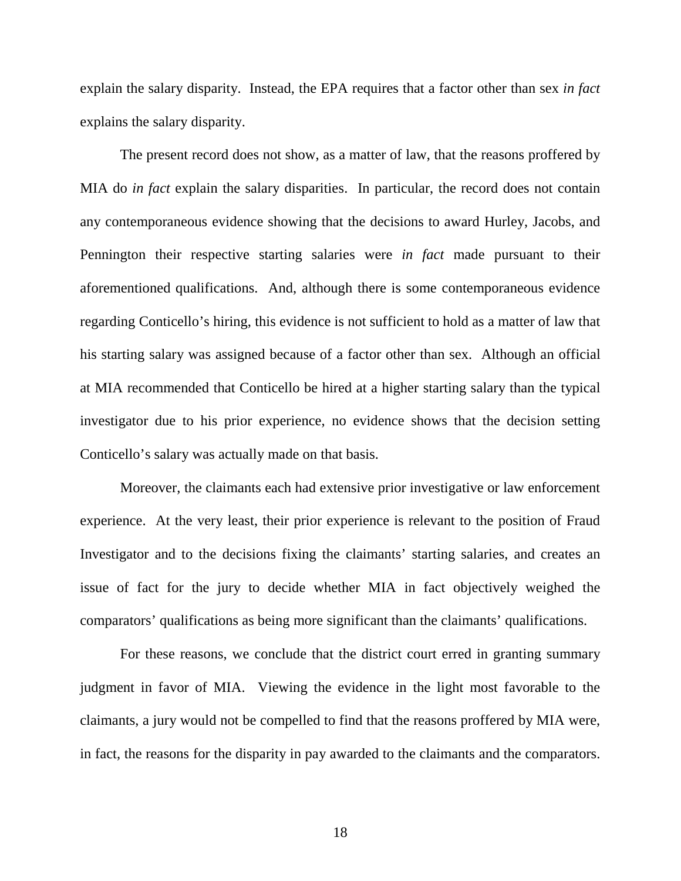explain the salary disparity. Instead, the EPA requires that a factor other than sex *in fact* explains the salary disparity.

The present record does not show, as a matter of law, that the reasons proffered by MIA do *in fact* explain the salary disparities. In particular, the record does not contain any contemporaneous evidence showing that the decisions to award Hurley, Jacobs, and Pennington their respective starting salaries were *in fact* made pursuant to their aforementioned qualifications. And, although there is some contemporaneous evidence regarding Conticello's hiring, this evidence is not sufficient to hold as a matter of law that his starting salary was assigned because of a factor other than sex. Although an official at MIA recommended that Conticello be hired at a higher starting salary than the typical investigator due to his prior experience, no evidence shows that the decision setting Conticello's salary was actually made on that basis.

Moreover, the claimants each had extensive prior investigative or law enforcement experience. At the very least, their prior experience is relevant to the position of Fraud Investigator and to the decisions fixing the claimants' starting salaries, and creates an issue of fact for the jury to decide whether MIA in fact objectively weighed the comparators' qualifications as being more significant than the claimants' qualifications.

For these reasons, we conclude that the district court erred in granting summary judgment in favor of MIA. Viewing the evidence in the light most favorable to the claimants, a jury would not be compelled to find that the reasons proffered by MIA were, in fact, the reasons for the disparity in pay awarded to the claimants and the comparators.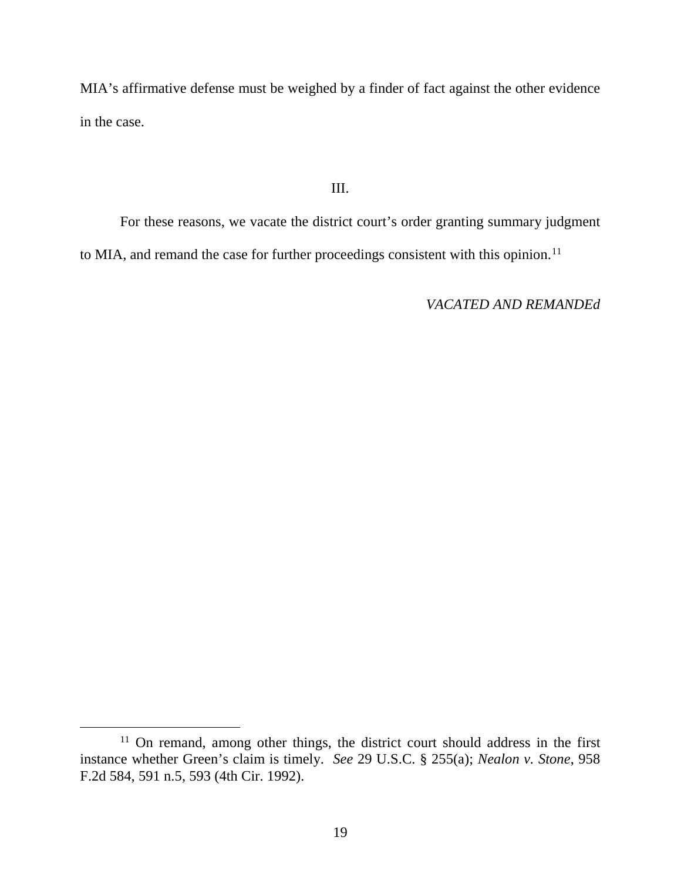MIA's affirmative defense must be weighed by a finder of fact against the other evidence in the case.

## III.

For these reasons, we vacate the district court's order granting summary judgment to MIA, and remand the case for further proceedings consistent with this opinion.<sup>[11](#page-18-0)</sup>

*VACATED AND REMANDEd*

<span id="page-18-0"></span><sup>&</sup>lt;sup>11</sup> On remand, among other things, the district court should address in the first instance whether Green's claim is timely. *See* 29 U.S.C. § 255(a); *Nealon v. Stone*, 958 F.2d 584, 591 n.5, 593 (4th Cir. 1992).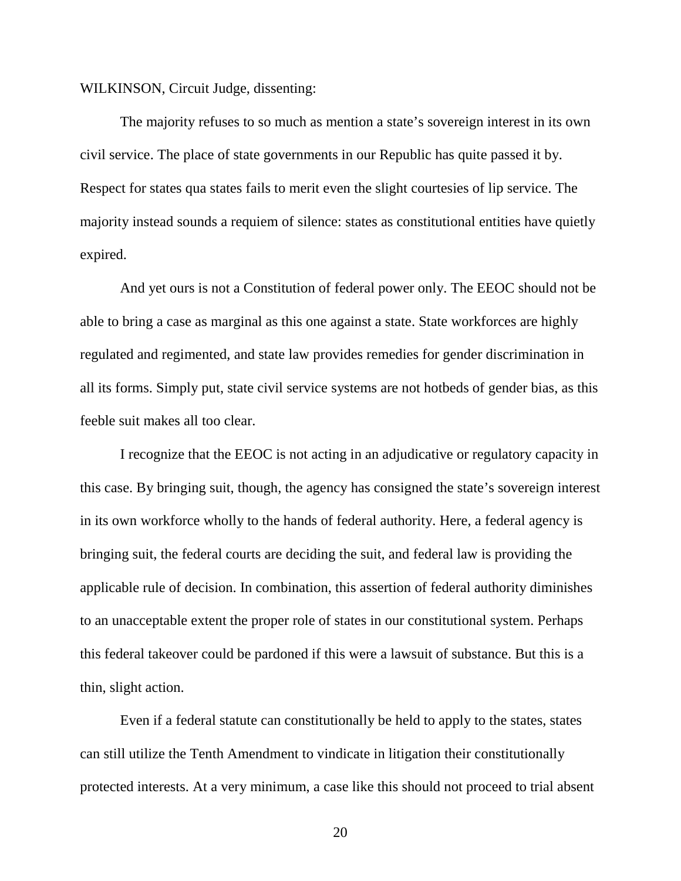WILKINSON, Circuit Judge, dissenting:

The majority refuses to so much as mention a state's sovereign interest in its own civil service. The place of state governments in our Republic has quite passed it by. Respect for states qua states fails to merit even the slight courtesies of lip service. The majority instead sounds a requiem of silence: states as constitutional entities have quietly expired.

And yet ours is not a Constitution of federal power only. The EEOC should not be able to bring a case as marginal as this one against a state. State workforces are highly regulated and regimented, and state law provides remedies for gender discrimination in all its forms. Simply put, state civil service systems are not hotbeds of gender bias, as this feeble suit makes all too clear.

I recognize that the EEOC is not acting in an adjudicative or regulatory capacity in this case. By bringing suit, though, the agency has consigned the state's sovereign interest in its own workforce wholly to the hands of federal authority. Here, a federal agency is bringing suit, the federal courts are deciding the suit, and federal law is providing the applicable rule of decision. In combination, this assertion of federal authority diminishes to an unacceptable extent the proper role of states in our constitutional system. Perhaps this federal takeover could be pardoned if this were a lawsuit of substance. But this is a thin, slight action.

Even if a federal statute can constitutionally be held to apply to the states, states can still utilize the Tenth Amendment to vindicate in litigation their constitutionally protected interests. At a very minimum, a case like this should not proceed to trial absent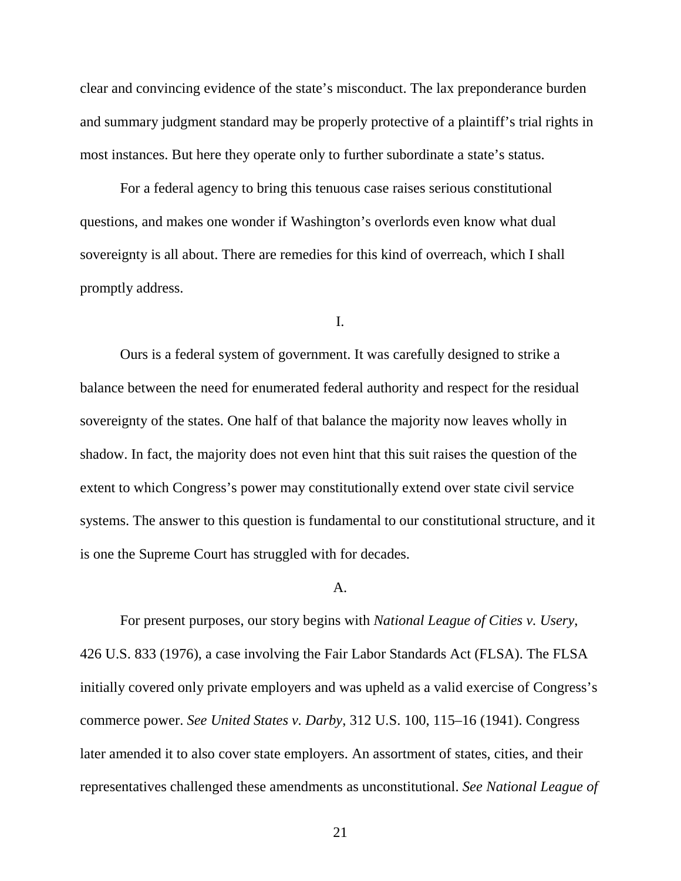clear and convincing evidence of the state's misconduct. The lax preponderance burden and summary judgment standard may be properly protective of a plaintiff's trial rights in most instances. But here they operate only to further subordinate a state's status.

For a federal agency to bring this tenuous case raises serious constitutional questions, and makes one wonder if Washington's overlords even know what dual sovereignty is all about. There are remedies for this kind of overreach, which I shall promptly address.

I.

Ours is a federal system of government. It was carefully designed to strike a balance between the need for enumerated federal authority and respect for the residual sovereignty of the states. One half of that balance the majority now leaves wholly in shadow. In fact, the majority does not even hint that this suit raises the question of the extent to which Congress's power may constitutionally extend over state civil service systems. The answer to this question is fundamental to our constitutional structure, and it is one the Supreme Court has struggled with for decades.

#### A.

For present purposes, our story begins with *National League of Cities v. Usery*, 426 U.S. 833 (1976), a case involving the Fair Labor Standards Act (FLSA). The FLSA initially covered only private employers and was upheld as a valid exercise of Congress's commerce power. *See United States v. Darby*, 312 U.S. 100, 115–16 (1941). Congress later amended it to also cover state employers. An assortment of states, cities, and their representatives challenged these amendments as unconstitutional. *See National League of*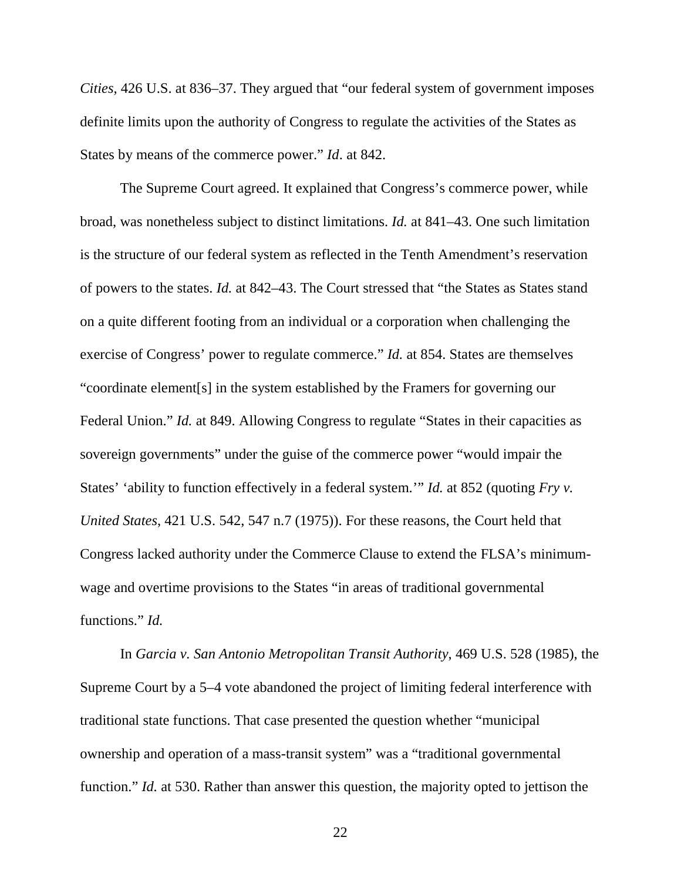*Cities*, 426 U.S. at 836–37. They argued that "our federal system of government imposes definite limits upon the authority of Congress to regulate the activities of the States as States by means of the commerce power." *Id*. at 842.

The Supreme Court agreed. It explained that Congress's commerce power, while broad, was nonetheless subject to distinct limitations. *Id.* at 841–43. One such limitation is the structure of our federal system as reflected in the Tenth Amendment's reservation of powers to the states. *Id.* at 842–43. The Court stressed that "the States as States stand on a quite different footing from an individual or a corporation when challenging the exercise of Congress' power to regulate commerce." *Id.* at 854. States are themselves "coordinate element[s] in the system established by the Framers for governing our Federal Union." *Id.* at 849. Allowing Congress to regulate "States in their capacities as sovereign governments" under the guise of the commerce power "would impair the States' 'ability to function effectively in a federal system.'" *Id.* at 852 (quoting *Fry v. United States*, 421 U.S. 542, 547 n.7 (1975)). For these reasons, the Court held that Congress lacked authority under the Commerce Clause to extend the FLSA's minimumwage and overtime provisions to the States "in areas of traditional governmental functions." *Id.*

In *Garcia v. San Antonio Metropolitan Transit Authority*, 469 U.S. 528 (1985), the Supreme Court by a 5–4 vote abandoned the project of limiting federal interference with traditional state functions. That case presented the question whether "municipal ownership and operation of a mass-transit system" was a "traditional governmental function." *Id.* at 530. Rather than answer this question, the majority opted to jettison the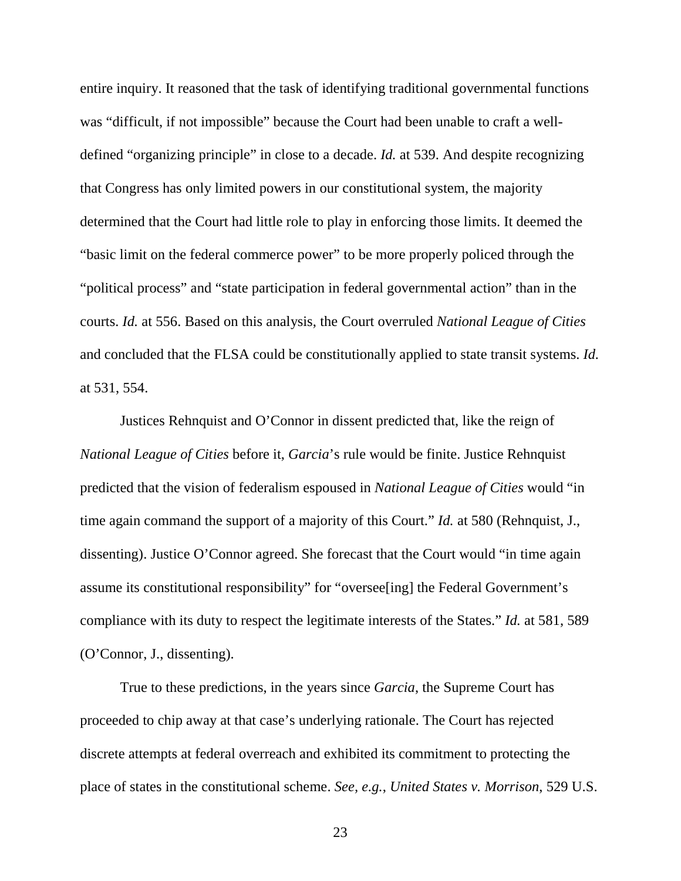entire inquiry. It reasoned that the task of identifying traditional governmental functions was "difficult, if not impossible" because the Court had been unable to craft a welldefined "organizing principle" in close to a decade. *Id.* at 539. And despite recognizing that Congress has only limited powers in our constitutional system, the majority determined that the Court had little role to play in enforcing those limits. It deemed the "basic limit on the federal commerce power" to be more properly policed through the "political process" and "state participation in federal governmental action" than in the courts. *Id.* at 556. Based on this analysis, the Court overruled *National League of Cities* and concluded that the FLSA could be constitutionally applied to state transit systems. *Id.* at 531, 554.

Justices Rehnquist and O'Connor in dissent predicted that, like the reign of *National League of Cities* before it, *Garcia*'s rule would be finite. Justice Rehnquist predicted that the vision of federalism espoused in *National League of Cities* would "in time again command the support of a majority of this Court." *Id.* at 580 (Rehnquist, J., dissenting). Justice O'Connor agreed. She forecast that the Court would "in time again assume its constitutional responsibility" for "oversee[ing] the Federal Government's compliance with its duty to respect the legitimate interests of the States." *Id.* at 581, 589 (O'Connor, J., dissenting).

True to these predictions, in the years since *Garcia*, the Supreme Court has proceeded to chip away at that case's underlying rationale. The Court has rejected discrete attempts at federal overreach and exhibited its commitment to protecting the place of states in the constitutional scheme. *See, e.g.*, *United States v. Morrison*, 529 U.S.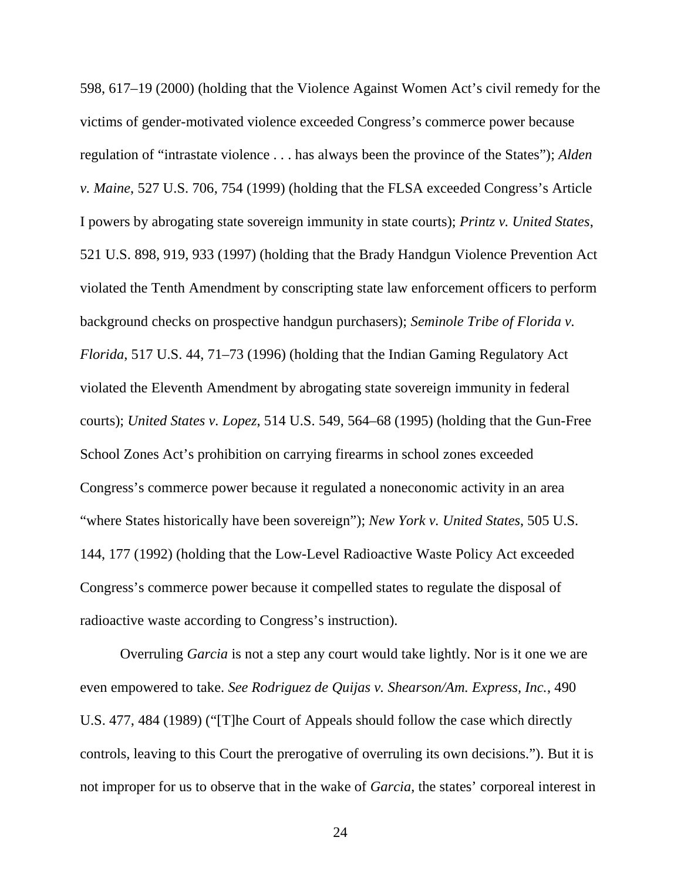598, 617–19 (2000) (holding that the Violence Against Women Act's civil remedy for the victims of gender-motivated violence exceeded Congress's commerce power because regulation of "intrastate violence . . . has always been the province of the States"); *Alden v. Maine*, 527 U.S. 706, 754 (1999) (holding that the FLSA exceeded Congress's Article I powers by abrogating state sovereign immunity in state courts); *Printz v. United States*, 521 U.S. 898, 919, 933 (1997) (holding that the Brady Handgun Violence Prevention Act violated the Tenth Amendment by conscripting state law enforcement officers to perform background checks on prospective handgun purchasers); *Seminole Tribe of Florida v. Florida*, 517 U.S. 44, 71–73 (1996) (holding that the Indian Gaming Regulatory Act violated the Eleventh Amendment by abrogating state sovereign immunity in federal courts); *United States v. Lopez*, 514 U.S. 549, 564–68 (1995) (holding that the Gun-Free School Zones Act's prohibition on carrying firearms in school zones exceeded Congress's commerce power because it regulated a noneconomic activity in an area "where States historically have been sovereign"); *New York v. United States*, 505 U.S. 144, 177 (1992) (holding that the Low-Level Radioactive Waste Policy Act exceeded Congress's commerce power because it compelled states to regulate the disposal of radioactive waste according to Congress's instruction).

Overruling *Garcia* is not a step any court would take lightly. Nor is it one we are even empowered to take. *See Rodriguez de Quijas v. Shearson/Am. Express, Inc.*, 490 U.S. 477, 484 (1989) ("[T]he Court of Appeals should follow the case which directly controls, leaving to this Court the prerogative of overruling its own decisions."). But it is not improper for us to observe that in the wake of *Garcia*, the states' corporeal interest in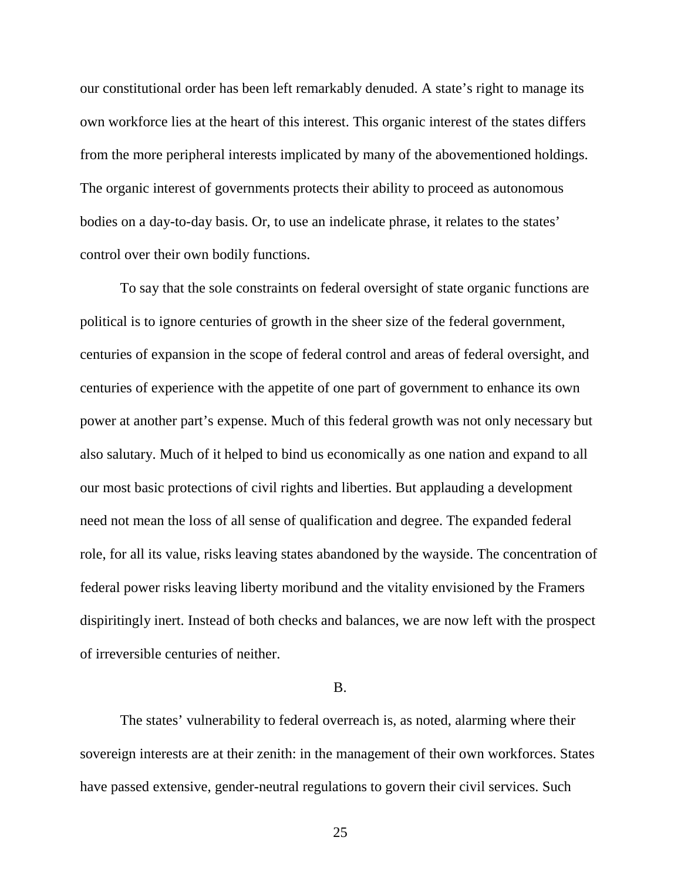our constitutional order has been left remarkably denuded. A state's right to manage its own workforce lies at the heart of this interest. This organic interest of the states differs from the more peripheral interests implicated by many of the abovementioned holdings. The organic interest of governments protects their ability to proceed as autonomous bodies on a day-to-day basis. Or, to use an indelicate phrase, it relates to the states' control over their own bodily functions.

To say that the sole constraints on federal oversight of state organic functions are political is to ignore centuries of growth in the sheer size of the federal government, centuries of expansion in the scope of federal control and areas of federal oversight, and centuries of experience with the appetite of one part of government to enhance its own power at another part's expense. Much of this federal growth was not only necessary but also salutary. Much of it helped to bind us economically as one nation and expand to all our most basic protections of civil rights and liberties. But applauding a development need not mean the loss of all sense of qualification and degree. The expanded federal role, for all its value, risks leaving states abandoned by the wayside. The concentration of federal power risks leaving liberty moribund and the vitality envisioned by the Framers dispiritingly inert. Instead of both checks and balances, we are now left with the prospect of irreversible centuries of neither.

### B.

The states' vulnerability to federal overreach is, as noted, alarming where their sovereign interests are at their zenith: in the management of their own workforces. States have passed extensive, gender-neutral regulations to govern their civil services. Such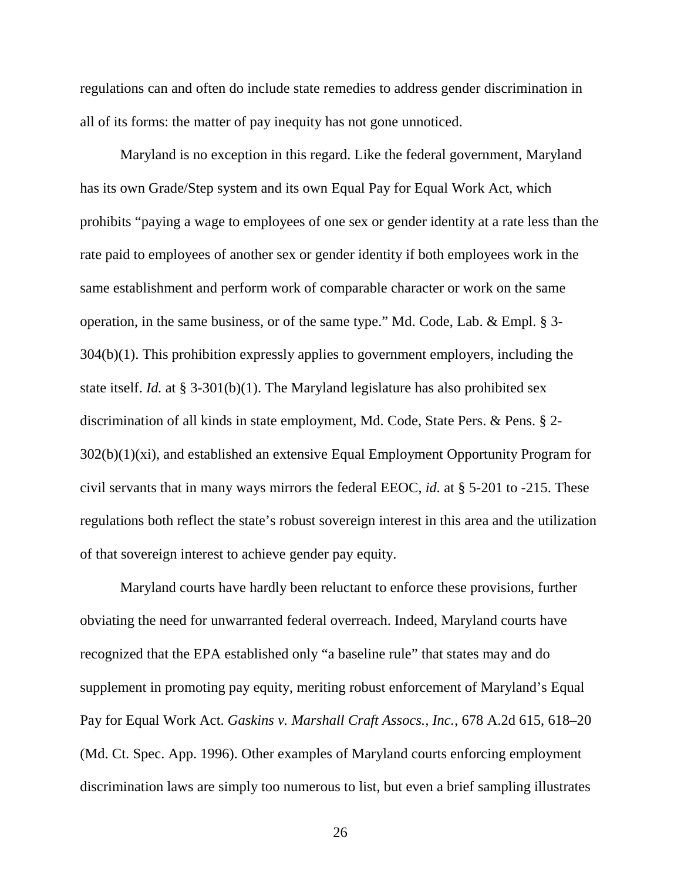regulations can and often do include state remedies to address gender discrimination in all of its forms: the matter of pay inequity has not gone unnoticed.

Maryland is no exception in this regard. Like the federal government, Maryland has its own Grade/Step system and its own Equal Pay for Equal Work Act, which prohibits "paying a wage to employees of one sex or gender identity at a rate less than the rate paid to employees of another sex or gender identity if both employees work in the same establishment and perform work of comparable character or work on the same operation, in the same business, or of the same type." Md. Code, Lab. & Empl. § 3- 304(b)(1). This prohibition expressly applies to government employers, including the state itself. *Id.* at § 3-301(b)(1). The Maryland legislature has also prohibited sex discrimination of all kinds in state employment, Md. Code, State Pers. & Pens. § 2- 302(b)(1)(xi), and established an extensive Equal Employment Opportunity Program for civil servants that in many ways mirrors the federal EEOC, *id.* at § 5-201 to -215. These regulations both reflect the state's robust sovereign interest in this area and the utilization of that sovereign interest to achieve gender pay equity.

Maryland courts have hardly been reluctant to enforce these provisions, further obviating the need for unwarranted federal overreach. Indeed, Maryland courts have recognized that the EPA established only "a baseline rule" that states may and do supplement in promoting pay equity, meriting robust enforcement of Maryland's Equal Pay for Equal Work Act. *Gaskins v. Marshall Craft Assocs., Inc.*, 678 A.2d 615, 618–20 (Md. Ct. Spec. App. 1996). Other examples of Maryland courts enforcing employment discrimination laws are simply too numerous to list, but even a brief sampling illustrates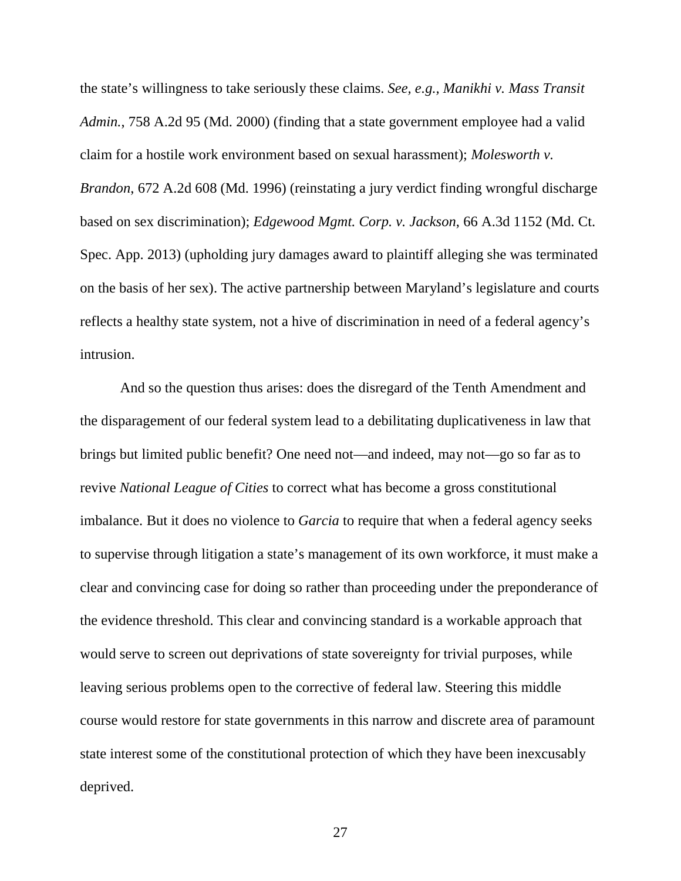the state's willingness to take seriously these claims. *See, e.g., Manikhi v. Mass Transit Admin.*, 758 A.2d 95 (Md. 2000) (finding that a state government employee had a valid claim for a hostile work environment based on sexual harassment); *Molesworth v. Brandon*, 672 A.2d 608 (Md. 1996) (reinstating a jury verdict finding wrongful discharge based on sex discrimination); *Edgewood Mgmt. Corp. v. Jackson*, 66 A.3d 1152 (Md. Ct. Spec. App. 2013) (upholding jury damages award to plaintiff alleging she was terminated on the basis of her sex). The active partnership between Maryland's legislature and courts reflects a healthy state system, not a hive of discrimination in need of a federal agency's intrusion.

And so the question thus arises: does the disregard of the Tenth Amendment and the disparagement of our federal system lead to a debilitating duplicativeness in law that brings but limited public benefit? One need not—and indeed, may not—go so far as to revive *National League of Cities* to correct what has become a gross constitutional imbalance. But it does no violence to *Garcia* to require that when a federal agency seeks to supervise through litigation a state's management of its own workforce, it must make a clear and convincing case for doing so rather than proceeding under the preponderance of the evidence threshold. This clear and convincing standard is a workable approach that would serve to screen out deprivations of state sovereignty for trivial purposes, while leaving serious problems open to the corrective of federal law. Steering this middle course would restore for state governments in this narrow and discrete area of paramount state interest some of the constitutional protection of which they have been inexcusably deprived.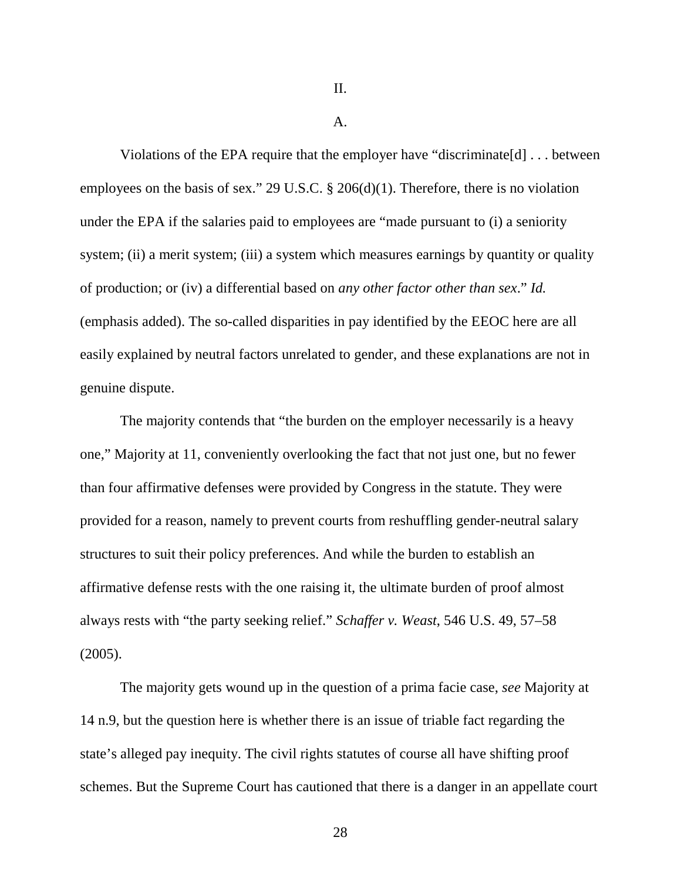II.

#### A.

Violations of the EPA require that the employer have "discriminate[d] . . . between employees on the basis of sex." 29 U.S.C. § 206(d)(1). Therefore, there is no violation under the EPA if the salaries paid to employees are "made pursuant to (i) a seniority system; (ii) a merit system; (iii) a system which measures earnings by quantity or quality of production; or (iv) a differential based on *any other factor other than sex*." *Id.* (emphasis added). The so-called disparities in pay identified by the EEOC here are all easily explained by neutral factors unrelated to gender, and these explanations are not in genuine dispute.

The majority contends that "the burden on the employer necessarily is a heavy one," Majority at 11, conveniently overlooking the fact that not just one, but no fewer than four affirmative defenses were provided by Congress in the statute. They were provided for a reason, namely to prevent courts from reshuffling gender-neutral salary structures to suit their policy preferences. And while the burden to establish an affirmative defense rests with the one raising it, the ultimate burden of proof almost always rests with "the party seeking relief." *Schaffer v. Weast*, 546 U.S. 49, 57–58 (2005).

The majority gets wound up in the question of a prima facie case, *see* Majority at 14 n.9, but the question here is whether there is an issue of triable fact regarding the state's alleged pay inequity. The civil rights statutes of course all have shifting proof schemes. But the Supreme Court has cautioned that there is a danger in an appellate court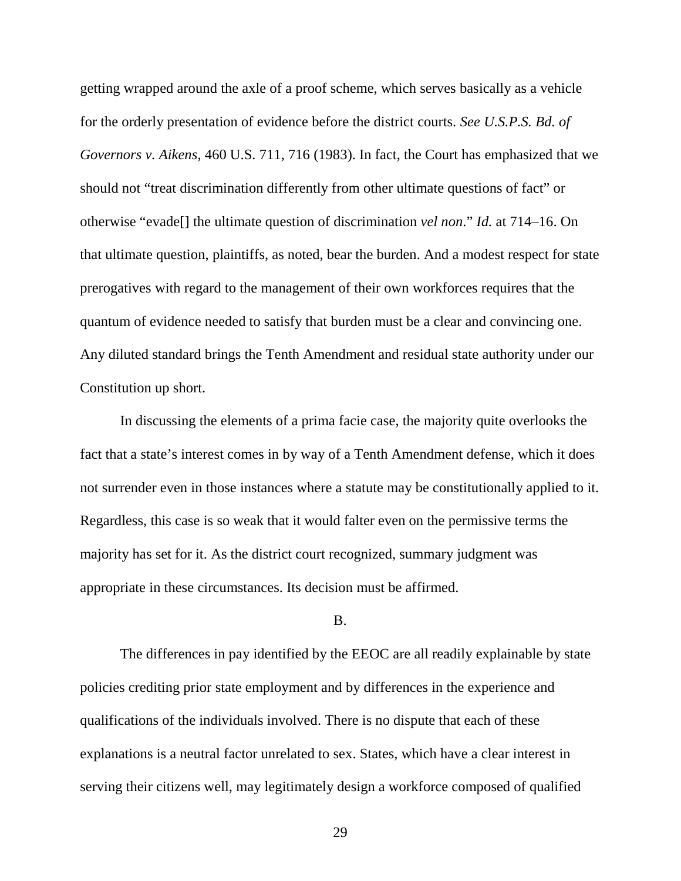getting wrapped around the axle of a proof scheme, which serves basically as a vehicle for the orderly presentation of evidence before the district courts. *See U.S.P.S. Bd. of Governors v. Aikens*, 460 U.S. 711, 716 (1983). In fact, the Court has emphasized that we should not "treat discrimination differently from other ultimate questions of fact" or otherwise "evade[] the ultimate question of discrimination *vel non*." *Id.* at 714–16. On that ultimate question, plaintiffs, as noted, bear the burden. And a modest respect for state prerogatives with regard to the management of their own workforces requires that the quantum of evidence needed to satisfy that burden must be a clear and convincing one. Any diluted standard brings the Tenth Amendment and residual state authority under our Constitution up short.

In discussing the elements of a prima facie case, the majority quite overlooks the fact that a state's interest comes in by way of a Tenth Amendment defense, which it does not surrender even in those instances where a statute may be constitutionally applied to it. Regardless, this case is so weak that it would falter even on the permissive terms the majority has set for it. As the district court recognized, summary judgment was appropriate in these circumstances. Its decision must be affirmed.

### B.

The differences in pay identified by the EEOC are all readily explainable by state policies crediting prior state employment and by differences in the experience and qualifications of the individuals involved. There is no dispute that each of these explanations is a neutral factor unrelated to sex. States, which have a clear interest in serving their citizens well, may legitimately design a workforce composed of qualified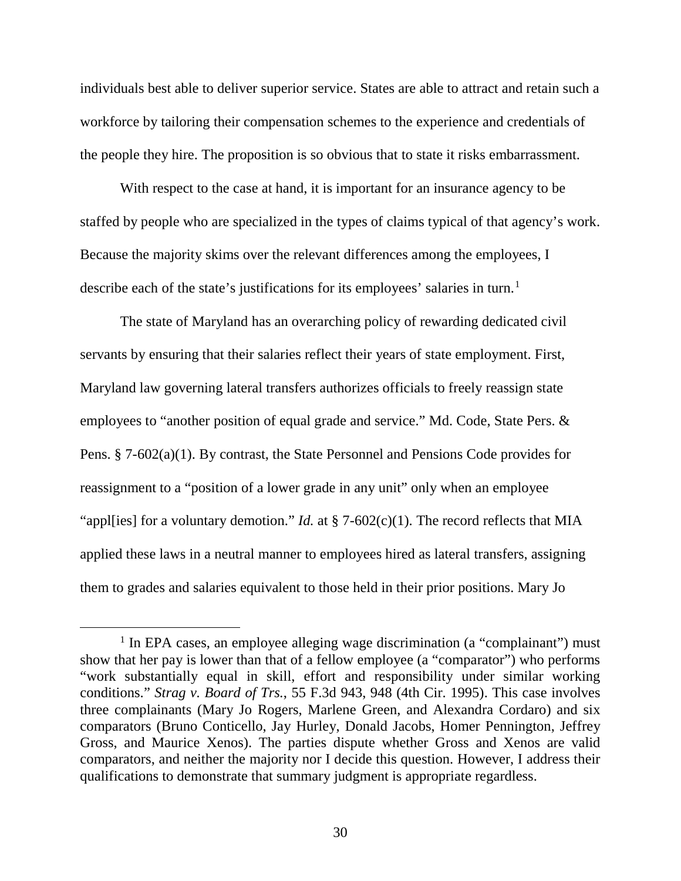individuals best able to deliver superior service. States are able to attract and retain such a workforce by tailoring their compensation schemes to the experience and credentials of the people they hire. The proposition is so obvious that to state it risks embarrassment.

With respect to the case at hand, it is important for an insurance agency to be staffed by people who are specialized in the types of claims typical of that agency's work. Because the majority skims over the relevant differences among the employees, I describe each of the state's justifications for its employees' salaries in turn.<sup>[1](#page-29-0)</sup>

The state of Maryland has an overarching policy of rewarding dedicated civil servants by ensuring that their salaries reflect their years of state employment. First, Maryland law governing lateral transfers authorizes officials to freely reassign state employees to "another position of equal grade and service." Md. Code, State Pers. & Pens. § 7-602(a)(1). By contrast, the State Personnel and Pensions Code provides for reassignment to a "position of a lower grade in any unit" only when an employee "appl[ies] for a voluntary demotion." *Id.* at  $\S$  7-602(c)(1). The record reflects that MIA applied these laws in a neutral manner to employees hired as lateral transfers, assigning them to grades and salaries equivalent to those held in their prior positions. Mary Jo

<span id="page-29-0"></span><sup>&</sup>lt;sup>1</sup> In EPA cases, an employee alleging wage discrimination (a "complainant") must show that her pay is lower than that of a fellow employee (a "comparator") who performs "work substantially equal in skill, effort and responsibility under similar working conditions." *Strag v. Board of Trs.*, 55 F.3d 943, 948 (4th Cir. 1995). This case involves three complainants (Mary Jo Rogers, Marlene Green, and Alexandra Cordaro) and six comparators (Bruno Conticello, Jay Hurley, Donald Jacobs, Homer Pennington, Jeffrey Gross, and Maurice Xenos). The parties dispute whether Gross and Xenos are valid comparators, and neither the majority nor I decide this question. However, I address their qualifications to demonstrate that summary judgment is appropriate regardless.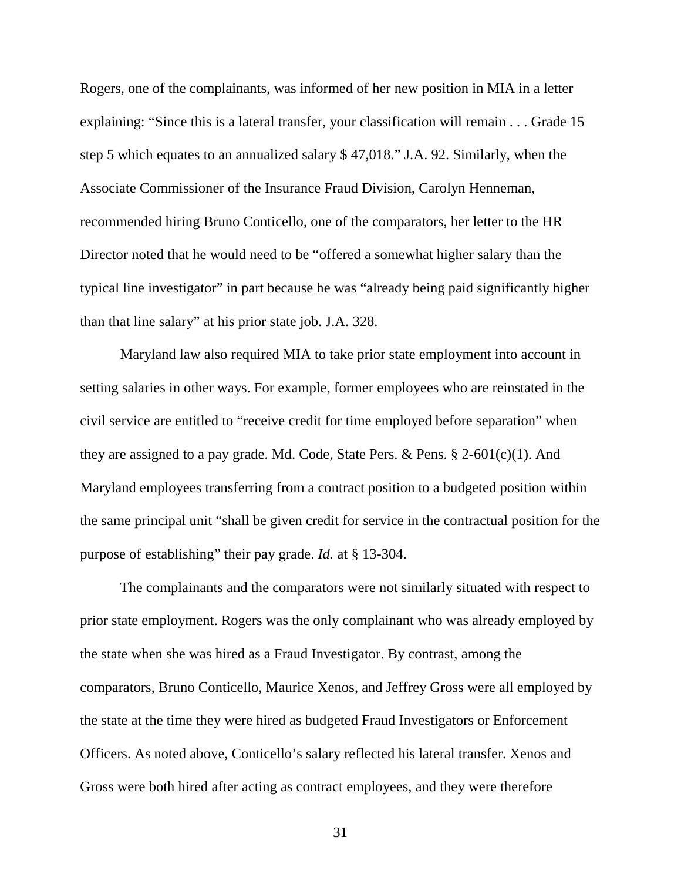Rogers, one of the complainants, was informed of her new position in MIA in a letter explaining: "Since this is a lateral transfer, your classification will remain . . . Grade 15 step 5 which equates to an annualized salary \$ 47,018." J.A. 92. Similarly, when the Associate Commissioner of the Insurance Fraud Division, Carolyn Henneman, recommended hiring Bruno Conticello, one of the comparators, her letter to the HR Director noted that he would need to be "offered a somewhat higher salary than the typical line investigator" in part because he was "already being paid significantly higher than that line salary" at his prior state job. J.A. 328.

Maryland law also required MIA to take prior state employment into account in setting salaries in other ways. For example, former employees who are reinstated in the civil service are entitled to "receive credit for time employed before separation" when they are assigned to a pay grade. Md. Code, State Pers. & Pens.  $\S 2-601(c)(1)$ . And Maryland employees transferring from a contract position to a budgeted position within the same principal unit "shall be given credit for service in the contractual position for the purpose of establishing" their pay grade. *Id.* at § 13-304.

The complainants and the comparators were not similarly situated with respect to prior state employment. Rogers was the only complainant who was already employed by the state when she was hired as a Fraud Investigator. By contrast, among the comparators, Bruno Conticello, Maurice Xenos, and Jeffrey Gross were all employed by the state at the time they were hired as budgeted Fraud Investigators or Enforcement Officers. As noted above, Conticello's salary reflected his lateral transfer. Xenos and Gross were both hired after acting as contract employees, and they were therefore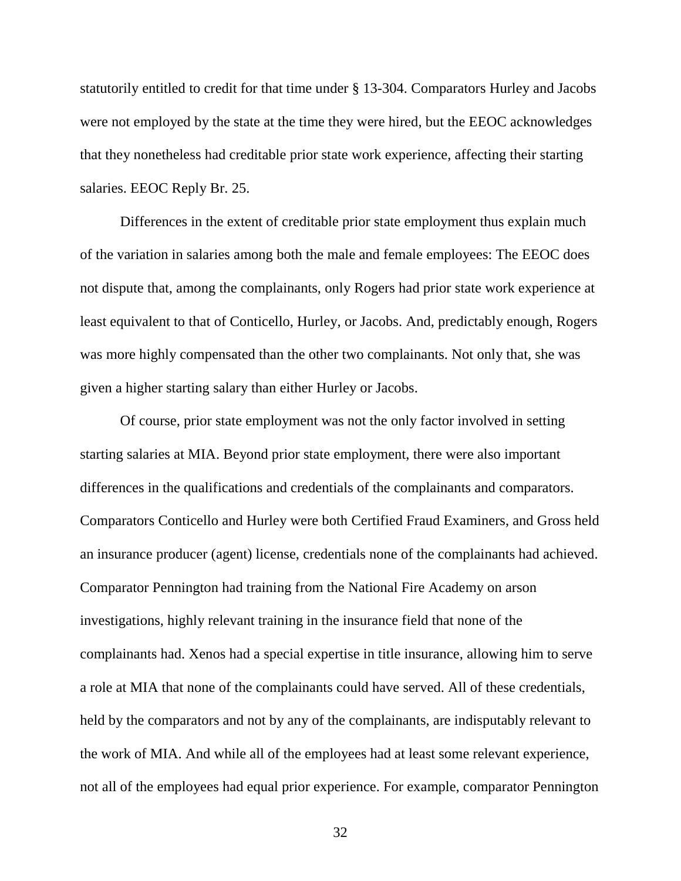statutorily entitled to credit for that time under § 13-304. Comparators Hurley and Jacobs were not employed by the state at the time they were hired, but the EEOC acknowledges that they nonetheless had creditable prior state work experience, affecting their starting salaries. EEOC Reply Br. 25.

Differences in the extent of creditable prior state employment thus explain much of the variation in salaries among both the male and female employees: The EEOC does not dispute that, among the complainants, only Rogers had prior state work experience at least equivalent to that of Conticello, Hurley, or Jacobs. And, predictably enough, Rogers was more highly compensated than the other two complainants. Not only that, she was given a higher starting salary than either Hurley or Jacobs.

Of course, prior state employment was not the only factor involved in setting starting salaries at MIA. Beyond prior state employment, there were also important differences in the qualifications and credentials of the complainants and comparators. Comparators Conticello and Hurley were both Certified Fraud Examiners, and Gross held an insurance producer (agent) license, credentials none of the complainants had achieved. Comparator Pennington had training from the National Fire Academy on arson investigations, highly relevant training in the insurance field that none of the complainants had. Xenos had a special expertise in title insurance, allowing him to serve a role at MIA that none of the complainants could have served. All of these credentials, held by the comparators and not by any of the complainants, are indisputably relevant to the work of MIA. And while all of the employees had at least some relevant experience, not all of the employees had equal prior experience. For example, comparator Pennington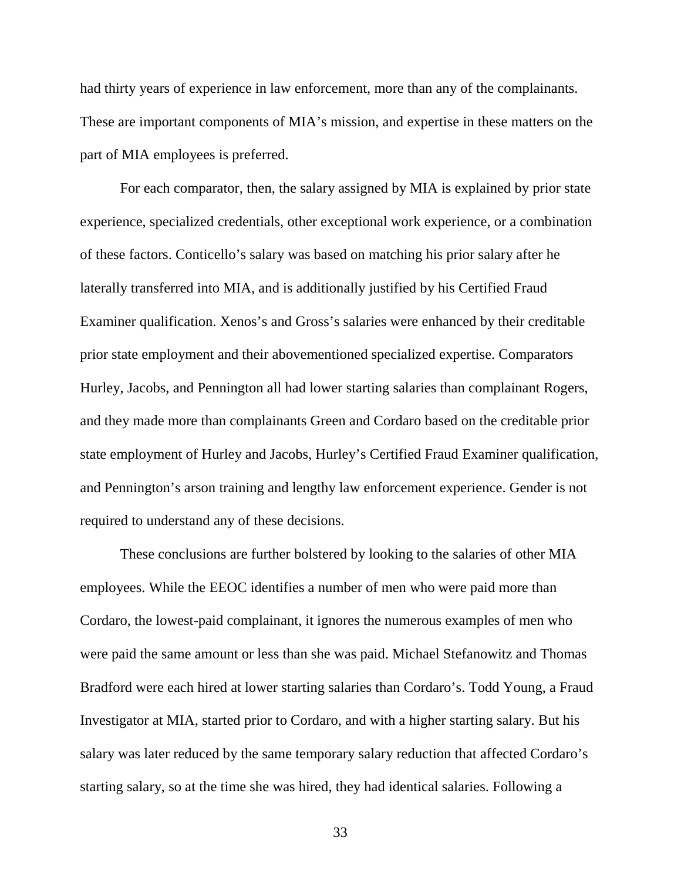had thirty years of experience in law enforcement, more than any of the complainants. These are important components of MIA's mission, and expertise in these matters on the part of MIA employees is preferred.

For each comparator, then, the salary assigned by MIA is explained by prior state experience, specialized credentials, other exceptional work experience, or a combination of these factors. Conticello's salary was based on matching his prior salary after he laterally transferred into MIA, and is additionally justified by his Certified Fraud Examiner qualification. Xenos's and Gross's salaries were enhanced by their creditable prior state employment and their abovementioned specialized expertise. Comparators Hurley, Jacobs, and Pennington all had lower starting salaries than complainant Rogers, and they made more than complainants Green and Cordaro based on the creditable prior state employment of Hurley and Jacobs, Hurley's Certified Fraud Examiner qualification, and Pennington's arson training and lengthy law enforcement experience. Gender is not required to understand any of these decisions.

These conclusions are further bolstered by looking to the salaries of other MIA employees. While the EEOC identifies a number of men who were paid more than Cordaro, the lowest-paid complainant, it ignores the numerous examples of men who were paid the same amount or less than she was paid. Michael Stefanowitz and Thomas Bradford were each hired at lower starting salaries than Cordaro's. Todd Young, a Fraud Investigator at MIA, started prior to Cordaro, and with a higher starting salary. But his salary was later reduced by the same temporary salary reduction that affected Cordaro's starting salary, so at the time she was hired, they had identical salaries. Following a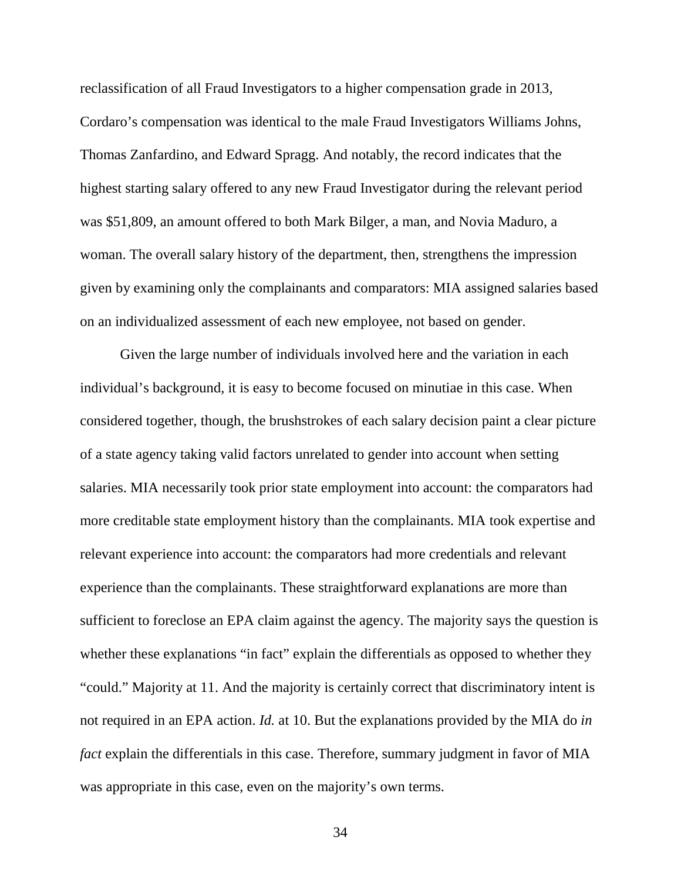reclassification of all Fraud Investigators to a higher compensation grade in 2013, Cordaro's compensation was identical to the male Fraud Investigators Williams Johns, Thomas Zanfardino, and Edward Spragg. And notably, the record indicates that the highest starting salary offered to any new Fraud Investigator during the relevant period was \$51,809, an amount offered to both Mark Bilger, a man, and Novia Maduro, a woman. The overall salary history of the department, then, strengthens the impression given by examining only the complainants and comparators: MIA assigned salaries based on an individualized assessment of each new employee, not based on gender.

Given the large number of individuals involved here and the variation in each individual's background, it is easy to become focused on minutiae in this case. When considered together, though, the brushstrokes of each salary decision paint a clear picture of a state agency taking valid factors unrelated to gender into account when setting salaries. MIA necessarily took prior state employment into account: the comparators had more creditable state employment history than the complainants. MIA took expertise and relevant experience into account: the comparators had more credentials and relevant experience than the complainants. These straightforward explanations are more than sufficient to foreclose an EPA claim against the agency. The majority says the question is whether these explanations "in fact" explain the differentials as opposed to whether they "could." Majority at 11. And the majority is certainly correct that discriminatory intent is not required in an EPA action. *Id.* at 10. But the explanations provided by the MIA do *in fact* explain the differentials in this case. Therefore, summary judgment in favor of MIA was appropriate in this case, even on the majority's own terms.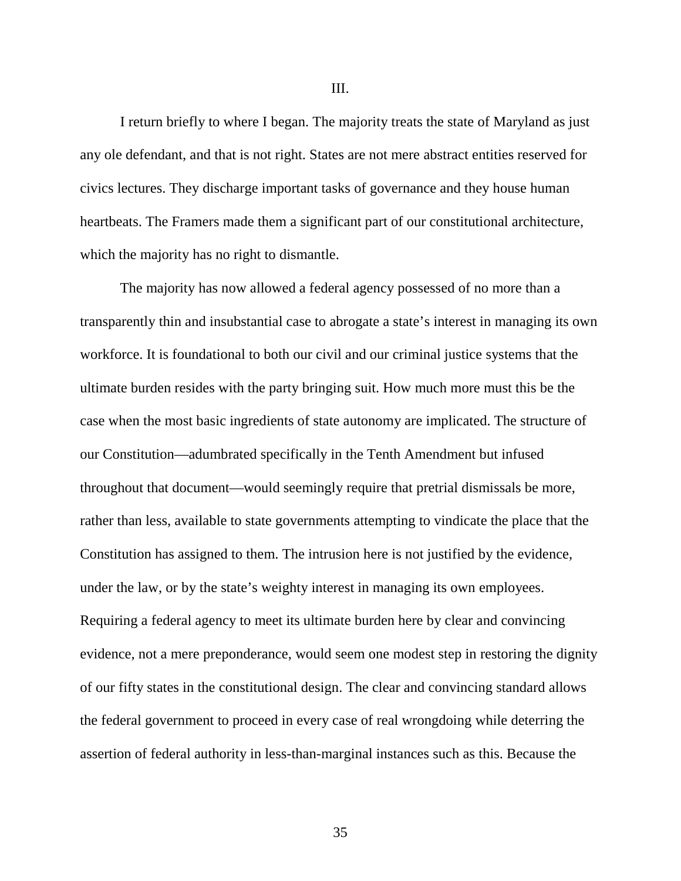I return briefly to where I began. The majority treats the state of Maryland as just any ole defendant, and that is not right. States are not mere abstract entities reserved for civics lectures. They discharge important tasks of governance and they house human heartbeats. The Framers made them a significant part of our constitutional architecture, which the majority has no right to dismantle.

The majority has now allowed a federal agency possessed of no more than a transparently thin and insubstantial case to abrogate a state's interest in managing its own workforce. It is foundational to both our civil and our criminal justice systems that the ultimate burden resides with the party bringing suit. How much more must this be the case when the most basic ingredients of state autonomy are implicated. The structure of our Constitution—adumbrated specifically in the Tenth Amendment but infused throughout that document—would seemingly require that pretrial dismissals be more, rather than less, available to state governments attempting to vindicate the place that the Constitution has assigned to them. The intrusion here is not justified by the evidence, under the law, or by the state's weighty interest in managing its own employees. Requiring a federal agency to meet its ultimate burden here by clear and convincing evidence, not a mere preponderance, would seem one modest step in restoring the dignity of our fifty states in the constitutional design. The clear and convincing standard allows the federal government to proceed in every case of real wrongdoing while deterring the assertion of federal authority in less-than-marginal instances such as this. Because the

III.